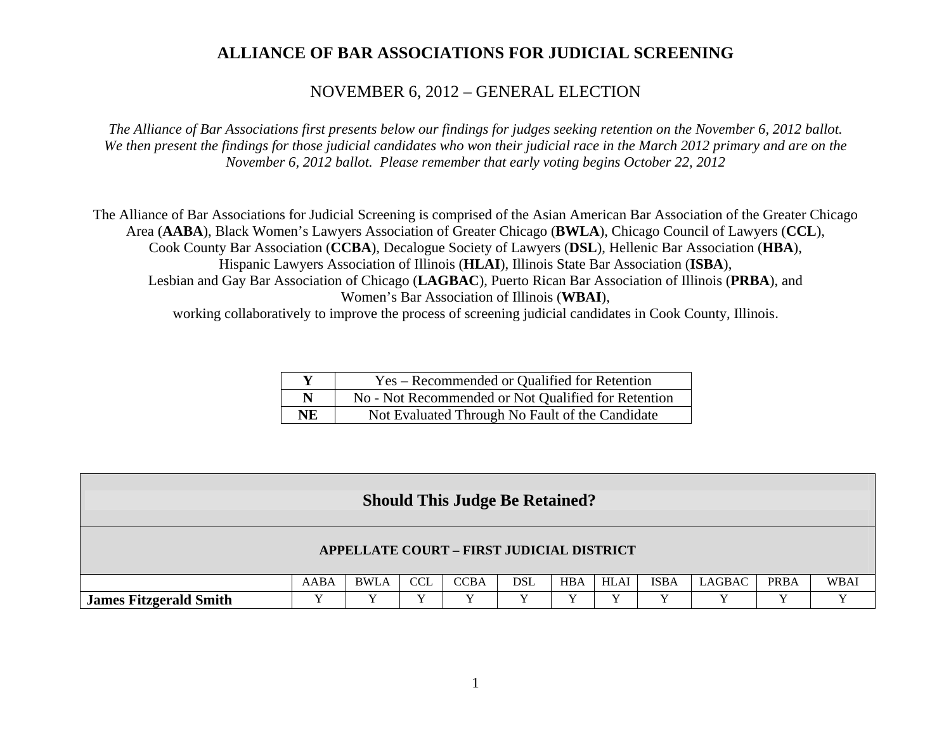#### NOVEMBER 6, 2012 – GENERAL ELECTION

*The Alliance of Bar Associations first presents below our findings for judges seeking retention on the November 6, 2012 ballot. We then present the findings for those judicial candidates who won their judicial race in the March 2012 primary and are on the November 6, 2012 ballot. Please remember that early voting begins October 22, 2012* 

The Alliance of Bar Associations for Judicial Screening is comprised of the Asian American Bar Association of the Greater Chicago Area (**AABA**), Black Women's Lawyers Association of Greater Chicago (**BWLA**), Chicago Council of Lawyers (**CCL**), Cook County Bar Association (**CCBA**), Decalogue Society of Lawyers (**DSL**), Hellenic Bar Association (**HBA**), Hispanic Lawyers Association of Illinois (**HLAI**), Illinois State Bar Association (**ISBA**), Lesbian and Gay Bar Association of Chicago (**LAGBAC**), Puerto Rican Bar Association of Illinois (**PRBA**), and Women's Bar Association of Illinois (**WBAI**), working collaboratively to improve the process of screening judicial candidates in Cook County, Illinois.

|           | Yes – Recommended or Qualified for Retention        |
|-----------|-----------------------------------------------------|
| N         | No - Not Recommended or Not Qualified for Retention |
| <b>NE</b> | Not Evaluated Through No Fault of the Candidate     |

|                               |      |             |            | <b>Should This Judge Be Retained?</b>     |     |            |      |             |        |             |             |
|-------------------------------|------|-------------|------------|-------------------------------------------|-----|------------|------|-------------|--------|-------------|-------------|
|                               |      |             |            | APPELLATE COURT - FIRST JUDICIAL DISTRICT |     |            |      |             |        |             |             |
|                               | AABA | <b>BWLA</b> | <b>CCL</b> | <b>CCBA</b>                               | DSL | <b>HBA</b> | HLAI | <b>ISBA</b> | LAGBAC | <b>PRBA</b> | <b>WBAI</b> |
| <b>James Fitzgerald Smith</b> |      |             |            |                                           |     |            |      |             | v      |             |             |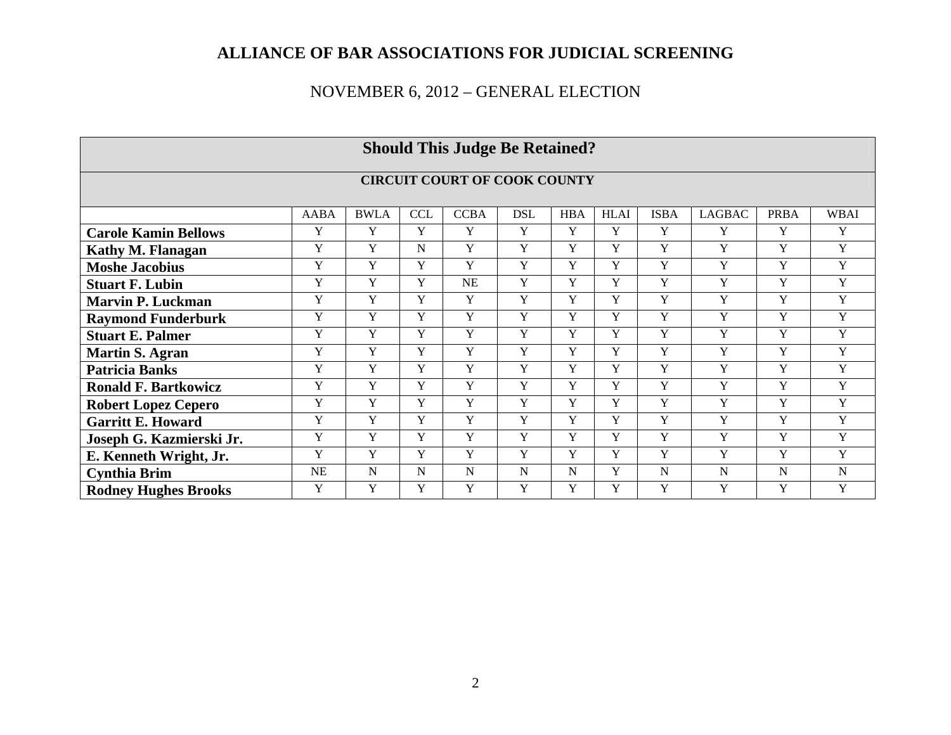|                             |             |             |            | <b>Should This Judge Be Retained?</b> |                |                |             |                |               |                |                |
|-----------------------------|-------------|-------------|------------|---------------------------------------|----------------|----------------|-------------|----------------|---------------|----------------|----------------|
|                             |             |             |            | <b>CIRCUIT COURT OF COOK COUNTY</b>   |                |                |             |                |               |                |                |
|                             | <b>AABA</b> | <b>BWLA</b> | <b>CCL</b> | <b>CCBA</b>                           | <b>DSL</b>     | <b>HBA</b>     | <b>HLAI</b> | <b>ISBA</b>    | <b>LAGBAC</b> | <b>PRBA</b>    | <b>WBAI</b>    |
| <b>Carole Kamin Bellows</b> | Y           | Y           | Y          | Y                                     | Y              | Y              | Y           | Y              | Y             | Y              | Y              |
| <b>Kathy M. Flanagan</b>    | $\mathbf Y$ | Y           | N          | Y                                     | Y              | Y              | Y           | Y              | Y             | Y              | Y              |
| <b>Moshe Jacobius</b>       | Y           | Y           | Y          | Y                                     | Y              | Y              | Y           | Y              | Y             | Y              | Y              |
| <b>Stuart F. Lubin</b>      | Y           | Y           | Y          | <b>NE</b>                             | Y              | $\mathbf Y$    | Y           | Y              | Y             | Y              | Y              |
| <b>Marvin P. Luckman</b>    | Y           | Y           | Y          | Y                                     | Y              | Y              | Y           | Y              | Y             | Y              | Y              |
| <b>Raymond Funderburk</b>   | Y           | Y           | Y          | Y                                     | Y              | Y              | Y           | Y              | Y             | Y              | Y              |
| <b>Stuart E. Palmer</b>     | Y           | Y           | Y          | Y                                     | Y              | Y              | Y           | Y              | Y             | Y              | Y              |
| <b>Martin S. Agran</b>      | Y           | Y           | Y          | Y                                     | Y              | Y              | Y           | Y              | Y             | Y              | Y              |
| <b>Patricia Banks</b>       | Y           | Y           | Y          | Y                                     | Y              | Y              | Y           | Y              | Y             | Y              | Y              |
| <b>Ronald F. Bartkowicz</b> | $\mathbf Y$ | Y           | Y          | Y                                     | Y              | Y              | Y           | Y              | Y             | Y              | Y              |
| <b>Robert Lopez Cepero</b>  | Y           | Y           | Y          | Y                                     | Y              | Y              | Y           | Y              | Y             | Y              | Y              |
| <b>Garritt E. Howard</b>    | Y           | Y           | Y          | Y                                     | Y              | Y              | Y           | Y              | Y             | Y              | Y              |
| Joseph G. Kazmierski Jr.    | Y           | Y           | Y          | Y                                     | Y              | Y              | Y           | Y              | Y             | Y              | Y              |
| E. Kenneth Wright, Jr.      | Y           | Y           | Y          | $\overline{Y}$                        | $\overline{Y}$ | $\overline{Y}$ | Y           | $\overline{Y}$ | Y             | $\overline{Y}$ | $\overline{Y}$ |
| <b>Cynthia Brim</b>         | NE          | N           | N          | N                                     | N              | $\mathbf N$    | Y           | N              | N             | $\mathbf N$    | $\overline{N}$ |
| <b>Rodney Hughes Brooks</b> | Y           | Y           | Y          | Y                                     | Y              | Y              | Y           | Y              | Y             | Y              | Y              |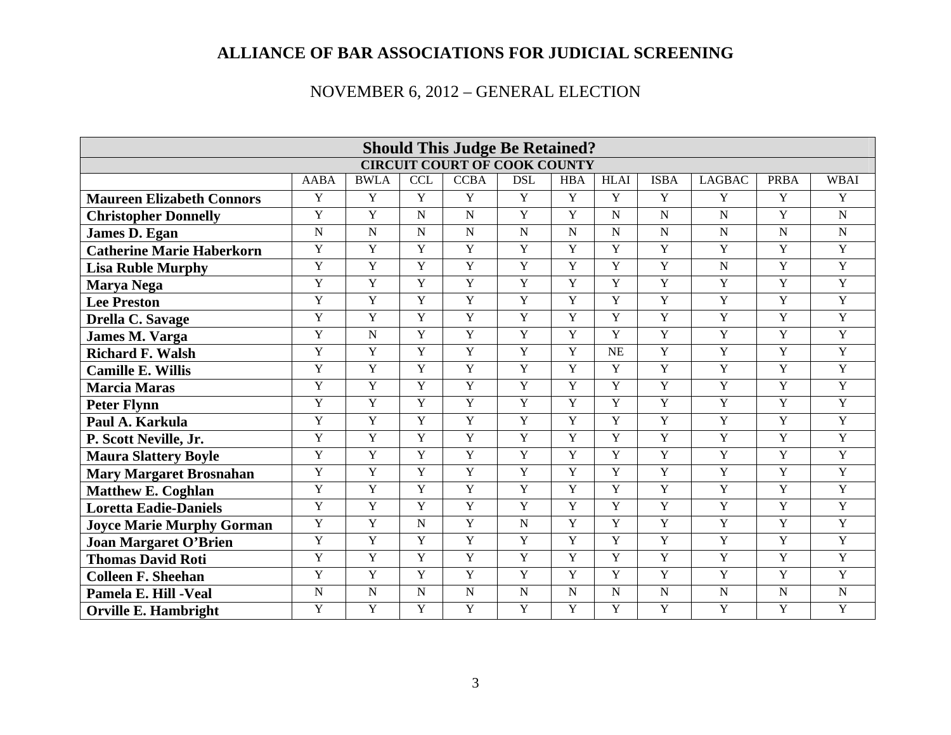|                                  |                         |                |                | <b>Should This Judge Be Retained?</b> |                |                |                |                |                |                |                |
|----------------------------------|-------------------------|----------------|----------------|---------------------------------------|----------------|----------------|----------------|----------------|----------------|----------------|----------------|
|                                  |                         |                |                | <b>CIRCUIT COURT OF COOK COUNTY</b>   |                |                |                |                |                |                |                |
|                                  | <b>AABA</b>             | <b>BWLA</b>    | <b>CCL</b>     | <b>CCBA</b>                           | <b>DSL</b>     | <b>HBA</b>     | <b>HLAI</b>    | <b>ISBA</b>    | <b>LAGBAC</b>  | <b>PRBA</b>    | <b>WBAI</b>    |
| <b>Maureen Elizabeth Connors</b> | Y                       | $\overline{Y}$ | $\overline{Y}$ | $\overline{Y}$                        | $\overline{Y}$ | $\overline{Y}$ | Y              | Y              | Y              | $\overline{Y}$ | Y              |
| <b>Christopher Donnelly</b>      | $\overline{Y}$          | $\overline{Y}$ | ${\bf N}$      | $\mathbf N$                           | $\overline{Y}$ | $\mathbf Y$    | ${\bf N}$      | $\mathbf N$    | $\mathbf N$    | $\overline{Y}$ | $\overline{N}$ |
| James D. Egan                    | $\overline{\mathbf{N}}$ | $\overline{N}$ | $\overline{N}$ | $\overline{N}$                        | $\overline{N}$ | $\overline{N}$ | $\overline{N}$ | $\overline{N}$ | $\mathbf N$    | $\overline{N}$ | $\overline{N}$ |
| <b>Catherine Marie Haberkorn</b> | $\mathbf Y$             | Y              | $\overline{Y}$ | Y                                     | Y              | $\mathbf Y$    | $\mathbf Y$    | Y              | Y              | Y              | Y              |
| <b>Lisa Ruble Murphy</b>         | $\overline{Y}$          | $\mathbf Y$    | $\overline{Y}$ | Y                                     | Y              | $\overline{Y}$ | $\overline{Y}$ | $\overline{Y}$ | $\mathbf N$    | $\overline{Y}$ | $\overline{Y}$ |
| Marya Nega                       | $\overline{Y}$          | $\overline{Y}$ | $\overline{Y}$ | Y                                     | Y              | $\overline{Y}$ | $\overline{Y}$ | $\overline{Y}$ | $\overline{Y}$ | $\overline{Y}$ | $\overline{Y}$ |
| <b>Lee Preston</b>               | $\mathbf Y$             | $\overline{Y}$ | $\overline{Y}$ | $\mathbf Y$                           | $\overline{Y}$ | $\mathbf Y$    | $\mathbf Y$    | $\overline{Y}$ | Y              | $\overline{Y}$ | Y              |
| Drella C. Savage                 | $\mathbf Y$             | $\mathbf Y$    | $\mathbf Y$    | Y                                     | Y              | $\mathbf Y$    | $\mathbf Y$    | $\mathbf Y$    | Y              | $\overline{Y}$ | $\overline{Y}$ |
| <b>James M. Varga</b>            | $\overline{Y}$          | $\overline{N}$ | $\overline{Y}$ | Y                                     | $\overline{Y}$ | $\overline{Y}$ | $\overline{Y}$ | $\overline{Y}$ | $\overline{Y}$ | $\overline{Y}$ | Y              |
| <b>Richard F. Walsh</b>          | $\mathbf Y$             | $\overline{Y}$ | $\overline{Y}$ | $\overline{Y}$                        | $\overline{Y}$ | $\overline{Y}$ | <b>NE</b>      | $\overline{Y}$ | $\overline{Y}$ | $\overline{Y}$ | $\overline{Y}$ |
| <b>Camille E. Willis</b>         | $\mathbf Y$             | $\mathbf Y$    | Y              | Y                                     | Y              | $\mathbf Y$    | $\mathbf Y$    | Y              | $\mathbf Y$    | $\overline{Y}$ | Y              |
| <b>Marcia Maras</b>              | $\overline{Y}$          | $\overline{Y}$ | Y              | Y                                     | Y              | $\overline{Y}$ | $\overline{Y}$ | Y              | $\overline{Y}$ | $\overline{Y}$ | Y              |
| <b>Peter Flynn</b>               | $\overline{Y}$          | $\overline{Y}$ | $\overline{Y}$ | Y                                     | $\overline{Y}$ | $\overline{Y}$ | Y              | $\overline{Y}$ | $\mathbf Y$    | $\overline{Y}$ | $\overline{Y}$ |
| Paul A. Karkula                  | $\overline{Y}$          | Y              | $\overline{Y}$ | $\overline{Y}$                        | $\overline{Y}$ | $\mathbf Y$    | $\mathbf Y$    | $\overline{Y}$ | $\overline{Y}$ | $\overline{Y}$ | Y              |
| P. Scott Neville, Jr.            | $\mathbf Y$             | $\overline{Y}$ | $\overline{Y}$ | $\overline{Y}$                        | $\overline{Y}$ | $\mathbf Y$    | $\mathbf Y$    | $\overline{Y}$ | $\mathbf Y$    | $\overline{Y}$ | Y              |
| <b>Maura Slattery Boyle</b>      | $\overline{Y}$          | $\overline{Y}$ | $\overline{Y}$ | Y                                     | $\overline{Y}$ | $\overline{Y}$ | $\overline{Y}$ | $\overline{Y}$ | $\overline{Y}$ | $\overline{Y}$ | $\overline{Y}$ |
| <b>Mary Margaret Brosnahan</b>   | $\overline{Y}$          | Y              | $\overline{Y}$ | $\overline{Y}$                        | $\overline{Y}$ | $\mathbf Y$    | Y              | $\overline{Y}$ | $\mathbf Y$    | $\overline{Y}$ | $\overline{Y}$ |
| <b>Matthew E. Coghlan</b>        | $\overline{Y}$          | $\overline{Y}$ | $\overline{Y}$ | Y                                     | Y              | $\overline{Y}$ | $\overline{Y}$ | $\overline{Y}$ | $\mathbf Y$    | $\overline{Y}$ | $\overline{Y}$ |
| <b>Loretta Eadie-Daniels</b>     | $\overline{Y}$          | $\overline{Y}$ | $\overline{Y}$ | $\overline{Y}$                        | $\overline{Y}$ | $\overline{Y}$ | $\overline{Y}$ | Y              | $\overline{Y}$ | $\overline{Y}$ | Y              |
| <b>Joyce Marie Murphy Gorman</b> | $\mathbf Y$             | $\overline{Y}$ | ${\bf N}$      | Y                                     | $\mathbf N$    | $\mathbf Y$    | $\mathbf Y$    | $\overline{Y}$ | $\overline{Y}$ | $\overline{Y}$ | Y              |
| <b>Joan Margaret O'Brien</b>     | $\overline{Y}$          | $\overline{Y}$ | $\overline{Y}$ | Y                                     | $\overline{Y}$ | $\overline{Y}$ | $\overline{Y}$ | $\overline{Y}$ | $\overline{Y}$ | $\overline{Y}$ | Y              |
| <b>Thomas David Roti</b>         | $\mathbf Y$             | $\overline{Y}$ | $\overline{Y}$ | Y                                     | $\overline{Y}$ | $\mathbf Y$    | $\mathbf Y$    | Y              | $\overline{Y}$ | $\overline{Y}$ | $\overline{Y}$ |
| <b>Colleen F. Sheehan</b>        | Y                       | $\mathbf Y$    | Y              | Y                                     | Y              | $\mathbf Y$    | $\mathbf Y$    | $\overline{Y}$ | $\mathbf Y$    | $\overline{Y}$ | $\overline{Y}$ |
| Pamela E. Hill - Veal            | $\overline{N}$          | N              | $\overline{N}$ | $\overline{N}$                        | $\overline{N}$ | $\overline{N}$ | $\overline{N}$ | $\overline{N}$ | $\mathbf N$    | $\overline{N}$ | $\overline{N}$ |
| <b>Orville E. Hambright</b>      | $\overline{Y}$          | $\overline{Y}$ | $\overline{Y}$ | $\overline{Y}$                        | Y              | $\overline{Y}$ | Y              | Y              | $\overline{Y}$ | $\overline{Y}$ | $\overline{Y}$ |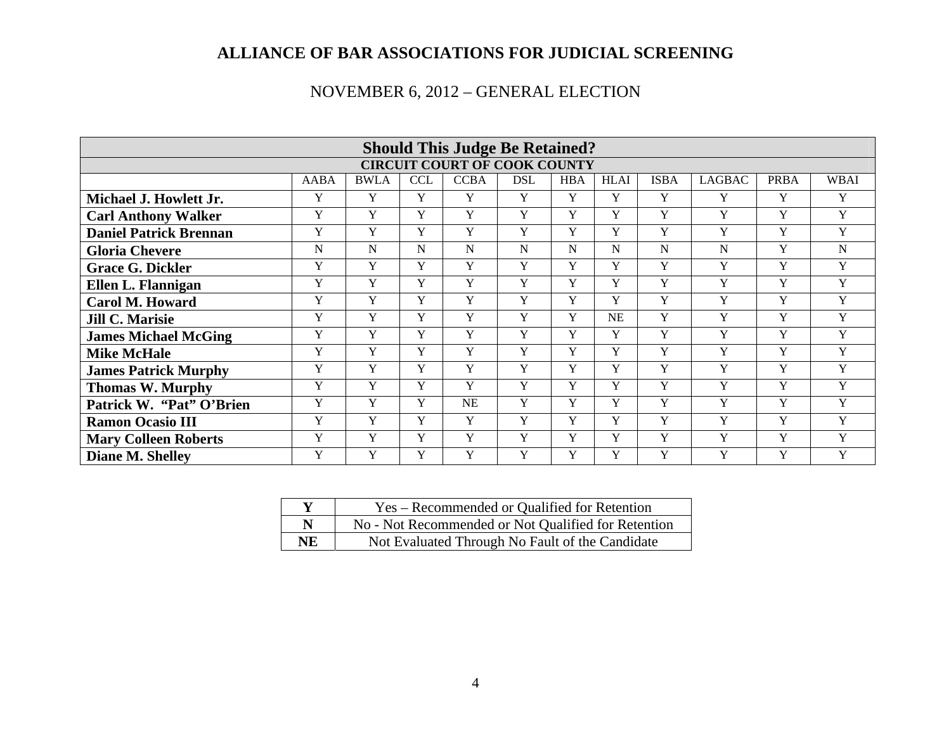|                               |             |             |            | <b>Should This Judge Be Retained?</b> |            |             |             |             |               |             |             |
|-------------------------------|-------------|-------------|------------|---------------------------------------|------------|-------------|-------------|-------------|---------------|-------------|-------------|
|                               |             |             |            | <b>CIRCUIT COURT OF COOK COUNTY</b>   |            |             |             |             |               |             |             |
|                               | <b>AABA</b> | <b>BWLA</b> | <b>CCL</b> | <b>CCBA</b>                           | <b>DSL</b> | <b>HBA</b>  | <b>HLAI</b> | <b>ISBA</b> | <b>LAGBAC</b> | <b>PRBA</b> | WBAI        |
| Michael J. Howlett Jr.        | Y           | Y           | Y          | Y                                     | Y          | Y           | Y           | Y           | Y             | Y           | Y           |
| <b>Carl Anthony Walker</b>    | Y           | Y           | Y          | Y                                     | Y          | Y           | Y           | Y           | Y             | Y           | Y           |
| <b>Daniel Patrick Brennan</b> | Y           | $\mathbf Y$ | Y          | Y                                     | Y          | $\mathbf Y$ | Y           | Y           | Y             | Y           | Y           |
| <b>Gloria Chevere</b>         | N           | N           | N          | N                                     | N          | N           | N           | N           | N             | Y           | $\mathbf N$ |
| <b>Grace G. Dickler</b>       | Y           | Y           | Y          | Y                                     | Y          | Y           | Y           | Y           | Y             | Y           | Y           |
| Ellen L. Flannigan            | Y           | Y           | Y          | Y                                     | Y          | Y           | Y           | Y           | Y             | $\mathbf Y$ | Y           |
| <b>Carol M. Howard</b>        | Y           | $\mathbf Y$ | Y          | Y                                     | Y          | $\mathbf Y$ | Y           | Y           | Y             | $\mathbf Y$ | Y           |
| <b>Jill C. Marisie</b>        | Y           | $\mathbf Y$ | Y          | Y                                     | Y          | $\mathbf Y$ | NE          | Y           | Y             | $\mathbf Y$ | $\mathbf Y$ |
| <b>James Michael McGing</b>   | Y           | Y           | Y          | Y                                     | Y          | Y           | Y           | Y           | Y             | Y           | Y           |
| <b>Mike McHale</b>            | Y           | Y           | Y          | Y                                     | Y          | $\mathbf Y$ | Y           | Y           | Y             | Y           | Y           |
| <b>James Patrick Murphy</b>   | Y           | Y           | Y          | Y                                     | Y          | Y           | Y           | Y           | Y             | Y           | Y           |
| <b>Thomas W. Murphy</b>       | Y           | Y           | Y          | Y                                     | Y          | $\mathbf Y$ | Y           | Y           | Y             | Y           | Y           |
| Patrick W. "Pat" O'Brien      | Y           | Y           | Y          | <b>NE</b>                             | Y          | Y           | Y           | Y           | Y             | Y           | Y           |
| <b>Ramon Ocasio III</b>       | Y           | Y           | Y          | Y                                     | Y          | Y           | Y           | Y           | Y             | Y           | Y           |
| <b>Mary Colleen Roberts</b>   | Y           | Y           | Y          | Y                                     | Y          | $\mathbf Y$ | Y           | Y           | Y             | Y           | Y           |
| Diane M. Shelley              | Y           | Y           | Y          | Y                                     | Y          | Y           | Y           | Y           | Y             | Y           | Y           |

| $\mathbf v$ | Yes – Recommended or Qualified for Retention        |
|-------------|-----------------------------------------------------|
| N           | No - Not Recommended or Not Qualified for Retention |
| NE          | Not Evaluated Through No Fault of the Candidate     |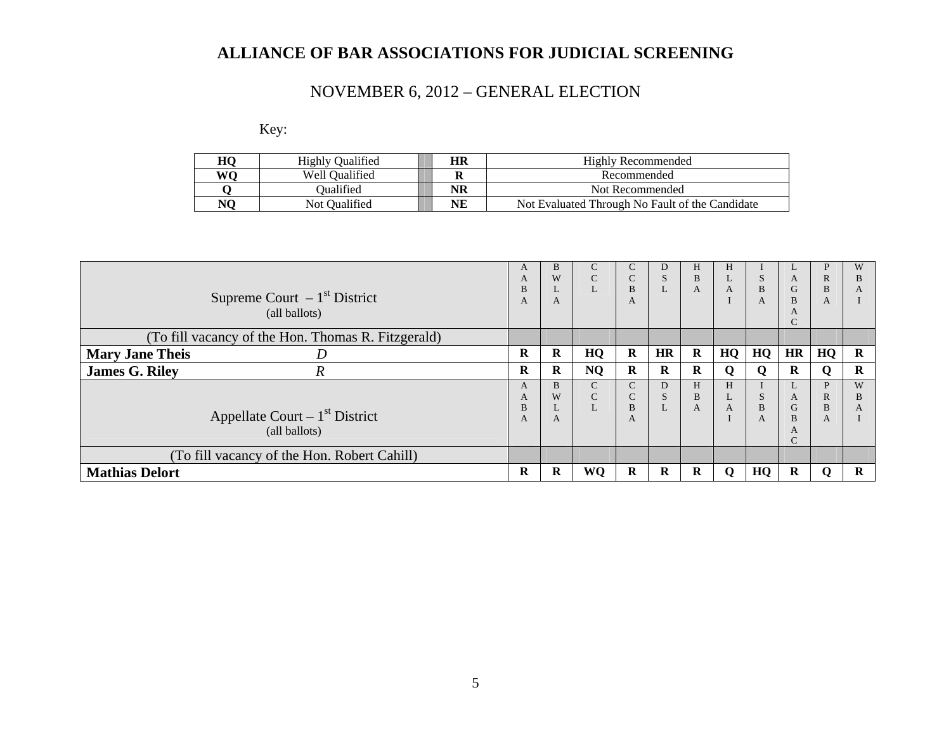# NOVEMBER 6, 2012 – GENERAL ELECTION

Key:

| HО | <b>Highly Qualified</b> | HR | Highly Recommended                              |
|----|-------------------------|----|-------------------------------------------------|
| WΛ | Well Oualified          |    | Recommended                                     |
|    | <b>Dualified</b>        | NR | Not Recommended                                 |
|    | Not Oualified           | NE | Not Evaluated Through No Fault of the Candidate |

| Supreme Court $-1st$ District                      | A<br>A<br>B<br>A | <sub>B</sub><br>W<br>A | $\mathsf{C}$<br>$\mathsf{C}$<br>L | C<br>$\sim$<br>U<br>B<br>A            | D<br>S  | H<br>B<br>A | Н<br>L<br>A | S<br>B<br>A | A<br>G<br>B                            | P<br>$\mathbb{R}$<br>B<br>A | W<br>в<br>A |
|----------------------------------------------------|------------------|------------------------|-----------------------------------|---------------------------------------|---------|-------------|-------------|-------------|----------------------------------------|-----------------------------|-------------|
| (all ballots)                                      |                  |                        |                                   |                                       |         |             |             |             | A<br>$\mathcal{C}$                     |                             |             |
| (To fill vacancy of the Hon. Thomas R. Fitzgerald) |                  |                        |                                   |                                       |         |             |             |             |                                        |                             |             |
| <b>Mary Jane Theis</b><br>D                        | R                | R                      | HQ                                | $\bf{R}$                              | HR      | $\bf R$     | HQ          | HQ          | <b>HR</b>                              | HQ                          | R           |
| <b>James G. Riley</b><br>$\boldsymbol{R}$          | R                | $\bf{R}$               | <b>NQ</b>                         | $\bf{R}$                              | R       | $\bf R$     | Q           | Q           | $\bf{R}$                               | Q                           | R           |
| Appellate Court $-1st$ District<br>(all ballots)   | A<br>A<br>B<br>A | <sub>B</sub><br>W<br>A | $\mathsf{C}$<br>$\mathsf{C}$<br>L | $\mathsf{C}$<br>$\sim$<br>U<br>B<br>A | D<br>S. | H<br>B<br>A | H<br>L<br>A | S<br>B<br>A | L<br>A<br>G<br>B<br>A<br>$\mathcal{C}$ | P<br>$\mathbb{R}$<br>B<br>A | W<br>в<br>A |
| (To fill vacancy of the Hon. Robert Cahill)        |                  |                        |                                   |                                       |         |             |             |             |                                        |                             |             |
| <b>Mathias Delort</b>                              | R                | R                      | WQ                                | $\bf{R}$                              | R       | R           | $\mathbf 0$ | HQ          | R                                      | 0                           | R           |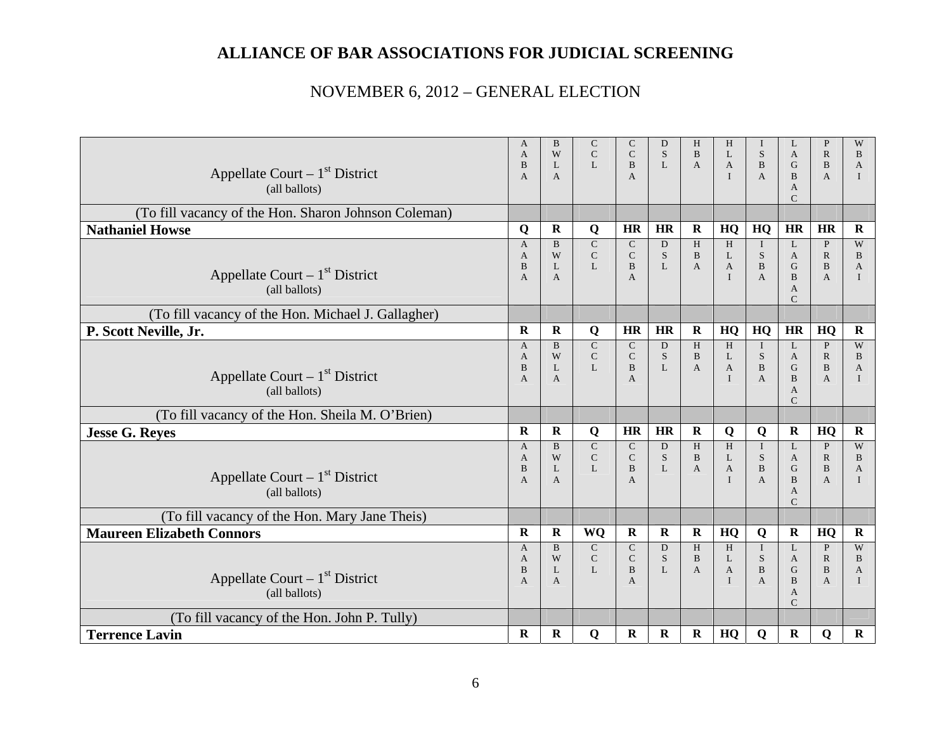| Appellate Court $-1st$ District<br>(all ballots)     | $\mathbf{A}$<br>$\mathsf{A}$<br>B<br>$\overline{A}$   | B<br>W<br>L<br>$\mathsf{A}$                       | $\mathsf{C}$<br>$\overline{C}$<br>L         | $\mathsf{C}$<br>$\mathsf{C}$<br><sub>B</sub><br>$\overline{A}$ | D<br>S<br>L                       | H<br>$\overline{B}$<br>$\mathbf{A}$ | H<br>L<br>$\mathbf{A}$<br>$\mathbf{I}$   | $\bf{I}$<br>S<br>B<br>$\overline{A}$                       | L<br>$\mathbf{A}$<br>G<br>$\overline{B}$<br>$\mathbf{A}$<br>$\mathcal{C}$ | $\mathbf{P}$<br>$\mathbb{R}$<br>B<br>$\mathbf{A}$              | W<br>B<br>$\mathbf{A}$<br>$\mathbf{I}$            |
|------------------------------------------------------|-------------------------------------------------------|---------------------------------------------------|---------------------------------------------|----------------------------------------------------------------|-----------------------------------|-------------------------------------|------------------------------------------|------------------------------------------------------------|---------------------------------------------------------------------------|----------------------------------------------------------------|---------------------------------------------------|
| (To fill vacancy of the Hon. Sharon Johnson Coleman) |                                                       |                                                   |                                             |                                                                |                                   |                                     |                                          |                                                            |                                                                           |                                                                |                                                   |
| <b>Nathaniel Howse</b>                               | Q                                                     | $\mathbf R$                                       | Q                                           | HR                                                             | <b>HR</b>                         | $\mathbf R$                         | HQ                                       | HQ                                                         | <b>HR</b>                                                                 | <b>HR</b>                                                      | $\mathbf{R}$                                      |
| Appellate Court $-1st$ District<br>(all ballots)     | $\overline{A}$<br>A<br>B<br>A                         | $\mathbf{B}$<br>W<br>L<br>A                       | $\overline{C}$<br>${\bf C}$<br>$\mathbf{L}$ | $\mathbf C$<br>$\mathbf C$<br>$\overline{B}$<br>A              | D<br>S<br>$\mathbf{L}$            | H<br>$\bf{B}$<br>$\mathbf{A}$       | H<br>L<br>$\overline{A}$<br>$\mathbf{I}$ | $\bf{I}$<br>${\bf S}$<br>$\overline{B}$<br>$\mathbf{A}$    | L<br>$\mathbf{A}$<br>G<br>$\, {\bf B}$<br>A<br>$\mathcal{C}$              | $\mathbf{P}$<br>${\bf R}$<br>$\mathbf{B}$<br>$\mathbf{A}$      | W<br>$\, {\bf B}$<br>$\mathbf{A}$<br>$\mathbf{I}$ |
| (To fill vacancy of the Hon. Michael J. Gallagher)   |                                                       |                                                   |                                             |                                                                |                                   |                                     |                                          |                                                            |                                                                           |                                                                |                                                   |
| P. Scott Neville, Jr.                                | $\mathbf R$                                           | $\mathbf R$                                       | Q                                           | HR                                                             | HR                                | $\mathbf R$                         | HQ                                       | HQ                                                         | HR                                                                        | HQ                                                             | $\mathbf R$                                       |
| Appellate Court $-1st$ District<br>(all ballots)     | $\mathbf{A}$<br>$\mathbf{A}$<br>B<br>$\overline{A}$   | $\mathbf{B}$<br>W<br>$\mathbf{L}$<br>$\mathsf{A}$ | $\mathsf{C}$<br>$\mathbf C$<br>L            | $\mathbf C$<br>$\mathsf{C}$<br>$\overline{B}$<br>A             | D<br><sub>S</sub><br>$\mathbf{L}$ | H<br>$\bf{B}$<br>$\overline{A}$     | H<br>L<br>$\overline{A}$<br>$\mathbf{I}$ | $\mathbf I$<br>${\bf S}$<br>$\bf{B}$<br>$\overline{A}$     | L<br>A<br>G<br>$\overline{B}$<br>$\mathbf{A}$<br>$\mathcal{C}$            | $\mathbf{P}$<br>$\mathbb{R}$<br>$\mathbf{B}$<br>$\overline{A}$ | W<br>B<br>A<br>$\mathbf{I}$                       |
| (To fill vacancy of the Hon. Sheila M. O'Brien)      |                                                       |                                                   |                                             |                                                                |                                   |                                     |                                          |                                                            |                                                                           |                                                                |                                                   |
| <b>Jesse G. Reyes</b>                                | $\mathbf R$                                           | ${\bf R}$                                         | Q                                           | HR                                                             | HR                                | $\mathbf R$                         | Q                                        | Q                                                          | $\mathbf R$                                                               | HQ                                                             | $\mathbf R$                                       |
| Appellate Court $-1st$ District<br>(all ballots)     | $\mathbf{A}$<br>$\mathbf{A}$<br>B<br>$\overline{A}$   | B<br>W<br>L<br>$\mathsf{A}$                       | $\mathbf C$<br>$\mathbf C$<br>$\mathbf{L}$  | $\mathsf{C}$<br>$\mathbf C$<br>B<br>A                          | D<br>S<br>$\mathbf{L}$            | H<br>$\, {\bf B}$<br>$\mathbf{A}$   | H<br>L<br>$\mathbf{A}$<br>$\mathbf{I}$   | $\mathbf I$<br>${\bf S}$<br>$\, {\bf B}$<br>$\overline{A}$ | L<br>$\mathbf{A}$<br>G<br>$\overline{B}$<br>A<br>$\mathsf{C}$             | $\mathbf{P}$<br>${\bf R}$<br>$\bf{B}$<br>$\overline{A}$        | W<br>B<br>A<br>$\mathbf{I}$                       |
| (To fill vacancy of the Hon. Mary Jane Theis)        |                                                       |                                                   |                                             |                                                                |                                   |                                     |                                          |                                                            |                                                                           |                                                                |                                                   |
| <b>Maureen Elizabeth Connors</b>                     | $\mathbf R$                                           | $\mathbf R$                                       | <b>WQ</b>                                   | $\mathbf R$                                                    | $\mathbf R$                       | $\mathbf R$                         | HQ                                       | Q                                                          | $\mathbf R$                                                               | HQ                                                             | $\mathbf R$                                       |
| Appellate Court $-1st$ District<br>(all ballots)     | $\mathbf{A}$<br>$\overline{A}$<br>B<br>$\overline{A}$ | B<br>W<br>L<br>A                                  | $\mathbf C$<br>$\mathbf C$<br>$\mathbf{L}$  | $\mathbf C$<br>$\mathsf{C}$<br>$\mathbf{B}$<br>A               | D<br>S<br>$\mathbf{L}$            | H<br>B<br>$\mathbf{A}$              | H<br>L<br>$\mathbf{A}$<br>$\mathbf{I}$   | $\mathbf I$<br>S<br>$\, {\bf B}$<br>A                      | L<br>$\mathbf{A}$<br>$\mathbf G$<br>B<br>A<br>$\mathsf{C}$                | $\mathbf{P}$<br>$\mathbb{R}$<br>$\mathbf{B}$<br>$\mathbf{A}$   | W<br>B<br>$\overline{A}$<br>$\mathbf{I}$          |
| (To fill vacancy of the Hon. John P. Tully)          |                                                       |                                                   |                                             |                                                                |                                   |                                     |                                          |                                                            |                                                                           |                                                                |                                                   |
| <b>Terrence Lavin</b>                                | R                                                     | $\bf R$                                           | Q                                           | $\mathbf R$                                                    | $\bf R$                           | $\bf R$                             | HQ                                       | Q                                                          | $\mathbf R$                                                               | Q                                                              | $\bf{R}$                                          |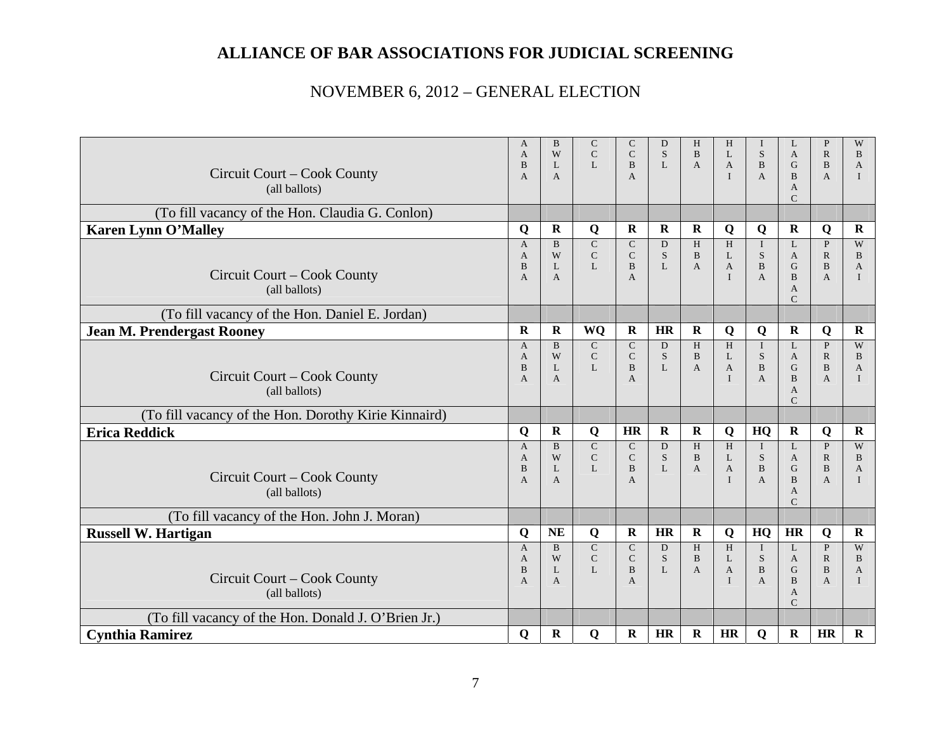| Circuit Court – Cook County<br>(all ballots)         | A<br>$\mathbf{A}$<br>B<br>$\overline{A}$            | B<br>W<br>L<br>$\mathbf{A}$            | C<br>$\mathbf C$<br>L                       | C<br>$\mathsf{C}$<br>B<br>$\mathbf{A}$           | D<br>S.<br>L           | H<br>$\overline{B}$<br>A          | H<br>L<br>$\mathbf{A}$<br>$\mathbf{I}$      | S<br>$\bf{B}$<br>$\mathbf{A}$                      | L<br>A<br>G<br>$\mathbf{B}$<br>A                                    | P<br>$\mathbb{R}$<br>$\bf{B}$<br>$\mathbf{A}$                  | W<br>B<br>$\mathbf{A}$<br>$\mathbf{I}$   |
|------------------------------------------------------|-----------------------------------------------------|----------------------------------------|---------------------------------------------|--------------------------------------------------|------------------------|-----------------------------------|---------------------------------------------|----------------------------------------------------|---------------------------------------------------------------------|----------------------------------------------------------------|------------------------------------------|
| (To fill vacancy of the Hon. Claudia G. Conlon)      |                                                     |                                        |                                             |                                                  |                        |                                   |                                             |                                                    | $\mathsf{C}$                                                        |                                                                |                                          |
| <b>Karen Lynn O'Malley</b>                           | Q                                                   | ${\bf R}$                              | Q                                           | $\mathbf R$                                      | $\mathbf R$            | $\mathbf R$                       | Q                                           | Q                                                  | $\mathbf R$                                                         | Q                                                              | $\mathbf R$                              |
| Circuit Court – Cook County<br>(all ballots)         | $\mathbf{A}$<br>$\mathsf{A}$<br>B<br>$\overline{A}$ | $\, {\bf B}$<br>W<br>L<br>$\mathsf{A}$ | ${\bf C}$<br>$\mathbf C$<br>L               | $\mathbf C$<br>$\mathsf{C}$<br>B<br>$\mathsf{A}$ | D<br>S.<br>L           | H<br>$\mathbf{B}$<br>$\mathbf{A}$ | $\,$ H<br>L<br>$\mathbf{A}$<br>$\mathbf{I}$ | $\mathbf I$<br>S<br>$\, {\bf B}$<br>A              | L<br>$\mathbf{A}$<br>G<br>$\overline{B}$<br>A<br>$\mathcal{C}$      | $\, {\bf P}$<br>$\mathbb{R}$<br>$\, {\bf B}$<br>$\mathbf{A}$   | W<br>B<br>$\overline{A}$<br>$\mathbf{I}$ |
| (To fill vacancy of the Hon. Daniel E. Jordan)       |                                                     |                                        |                                             |                                                  |                        |                                   |                                             |                                                    |                                                                     |                                                                |                                          |
| <b>Jean M. Prendergast Rooney</b>                    | $\mathbf R$                                         | ${\bf R}$                              | WQ                                          | ${\bf R}$                                        | <b>HR</b>              | $\mathbf R$                       | $\mathbf Q$                                 | Q                                                  | $\mathbf R$                                                         | Q                                                              | $\mathbf R$                              |
| Circuit Court – Cook County<br>(all ballots)         | $\mathbf{A}$<br>$\mathbf{A}$<br>B<br>$\overline{A}$ | $\mathbf{B}$<br>W<br>L<br>$\mathsf{A}$ | $\mathsf{C}$<br>$\mathbf C$<br>L            | $\mathbf C$<br>$\mathbf C$<br>B<br>A             | D<br><sub>S</sub><br>L | H<br>$\mathbf{B}$<br>$\mathbf{A}$ | H<br>L<br>$\mathbf{A}$<br>$\mathbf{I}$      | $\bf{I}$<br>S<br>$\bf{B}$<br>$\overline{A}$        | L<br>$\mathbf{A}$<br>G<br>$\overline{B}$<br>A<br>$\mathcal{C}$      | $\mathbf{P}$<br>$\mathbb{R}$<br>$\mathbf{B}$<br>$\overline{A}$ | W<br>B<br>$\mathbf{A}$<br>$\mathbf{I}$   |
| (To fill vacancy of the Hon. Dorothy Kirie Kinnaird) |                                                     |                                        |                                             |                                                  |                        |                                   |                                             |                                                    |                                                                     |                                                                |                                          |
| <b>Erica Reddick</b>                                 | Q                                                   | $\mathbf R$                            | Q                                           | HR                                               | $\mathbf R$            | $\mathbf R$                       | Q                                           | HQ                                                 | $\mathbf R$                                                         | Q                                                              | $\mathbf R$                              |
| Circuit Court – Cook County<br>(all ballots)         | $\mathbf{A}$<br>$\mathbf{A}$<br>B<br>$\overline{A}$ | $\mathbf{B}$<br>W<br>L<br>$\mathsf{A}$ | $\overline{C}$<br>$\mathbf C$<br>L          | $\mathsf{C}$<br>$\mathbf C$<br>$\bf{B}$<br>A     | D<br>S<br>L            | H<br>B<br>A                       | H<br>L<br>$\mathbf{A}$<br>$\mathbf{I}$      | $\mathbf I$<br>S<br>$\, {\bf B}$<br>$\overline{A}$ | L<br>$\mathbf{A}$<br>G<br>$\overline{B}$<br>A<br>$\mathcal{C}$      | $\mathbf{P}$<br>$\mathbb{R}$<br>$\, {\bf B}$<br>$\overline{A}$ | W<br>B<br>$\mathbf{A}$<br>$\mathbf{I}$   |
| (To fill vacancy of the Hon. John J. Moran)          |                                                     |                                        |                                             |                                                  |                        |                                   |                                             |                                                    |                                                                     |                                                                |                                          |
| <b>Russell W. Hartigan</b>                           | Q                                                   | <b>NE</b>                              | Q                                           | $\bf{R}$                                         | <b>HR</b>              | $\bf R$                           | Q                                           | HQ                                                 | HR                                                                  | Q                                                              | $\mathbf R$                              |
| Circuit Court – Cook County<br>(all ballots)         | $\mathbf{A}$<br>$\mathbf{A}$<br>B<br>$\mathsf{A}$   | $\mathbf{B}$<br>W<br>L<br>$\mathsf{A}$ | $\mathsf{C}$<br>$\mathbf C$<br>$\mathbf{L}$ | $\mathsf{C}$<br>$\mathbf C$<br>$\mathbf{B}$<br>A | D<br>S<br>L            | H<br>B<br>A                       | H<br>L<br>$\mathbf{A}$<br>$\mathbf{I}$      | $\mathbf{I}$<br>S<br>$\, {\bf B}$<br>A             | L<br>$\mathbf{A}$<br>G<br>$\bf{B}$<br>$\mathbf{A}$<br>$\mathcal{C}$ | $\mathbf{P}$<br>$\mathbb{R}$<br>$\, {\bf B}$<br>$\mathbf{A}$   | W<br>B<br>A<br>$\mathbf{I}$              |
| (To fill vacancy of the Hon. Donald J. O'Brien Jr.)  |                                                     |                                        |                                             |                                                  |                        |                                   |                                             |                                                    |                                                                     |                                                                |                                          |
| <b>Cynthia Ramirez</b>                               | Q                                                   | $\bf{R}$                               | Q                                           | R                                                | <b>HR</b>              | $\bf R$                           | HR                                          | Q                                                  | $\bf{R}$                                                            | <b>HR</b>                                                      | $\mathbf R$                              |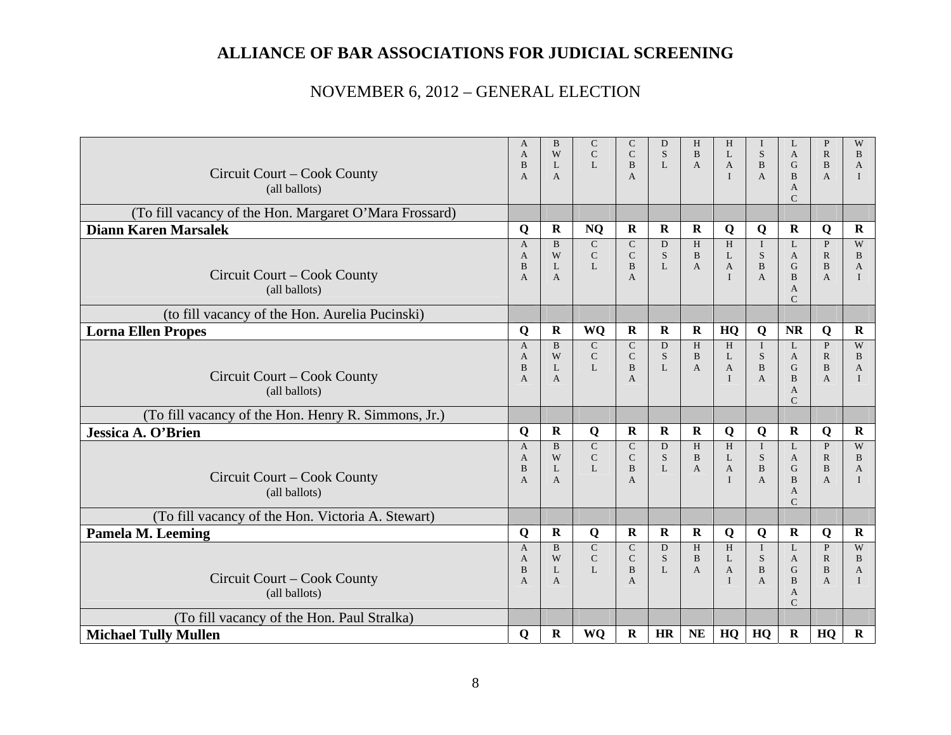| Circuit Court – Cook County<br>(all ballots)           | $\mathbf{A}$<br>$\mathbf{A}$<br>B<br>$\overline{A}$   | B<br>W<br>L<br>$\mathbf{A}$            | $\mathbf C$<br>$\mathbf C$<br>$\mathbf{L}$ | $\mathsf{C}$<br>$\mathsf{C}$<br>B<br>$\mathbf{A}$ | D<br>S.<br>L           | H<br>$\mathbf{B}$<br>A            | H<br>L<br>$\mathbf{A}$<br>$\mathbf{I}$      | S<br>B<br>$\mathbf{A}$                                     | L<br>A<br>G<br>$\bf{B}$<br>A<br>$\mathsf{C}$                                     | $\, {\bf P}$<br>$\mathbb{R}$<br>$\bf{B}$<br>$\overline{A}$     | W<br>B<br>$\mathbf{A}$<br>$\bf{I}$                |
|--------------------------------------------------------|-------------------------------------------------------|----------------------------------------|--------------------------------------------|---------------------------------------------------|------------------------|-----------------------------------|---------------------------------------------|------------------------------------------------------------|----------------------------------------------------------------------------------|----------------------------------------------------------------|---------------------------------------------------|
| (To fill vacancy of the Hon. Margaret O'Mara Frossard) |                                                       |                                        |                                            |                                                   |                        |                                   |                                             |                                                            |                                                                                  |                                                                |                                                   |
| <b>Diann Karen Marsalek</b>                            | Q                                                     | $\mathbf R$                            | <b>NQ</b>                                  | $\mathbf R$                                       | $\mathbf R$            | $\bf R$                           | Q                                           | Q                                                          | $\mathbf R$                                                                      | Q                                                              | $\mathbf R$                                       |
| Circuit Court – Cook County<br>(all ballots)           | $\mathbf{A}$<br>$\mathbf{A}$<br>B<br>$\overline{A}$   | $\mathbf{B}$<br>W<br>L<br>$\mathsf{A}$ | ${\bf C}$<br>$\mathbf C$<br>L              | $\mathbf C$<br>$\mathbf C$<br>B<br>$\mathbf{A}$   | D<br><sub>S</sub><br>L | H<br>$\overline{B}$<br>A          | $\,$ H<br>L<br>$\mathbf{A}$<br>$\mathbf{I}$ | $\bf{I}$<br>S<br>$\, {\bf B}$<br>A                         | L<br>$\mathbf{A}$<br>$\mathbf G$<br>$\mathbf{B}$<br>$\mathbf{A}$<br>$\mathsf{C}$ | $\, {\bf P}$<br>$\mathbb{R}$<br>$\, {\bf B}$<br>$\mathbf{A}$   | W<br><sub>B</sub><br>$\mathbf{A}$<br>$\mathbf{I}$ |
| (to fill vacancy of the Hon. Aurelia Pucinski)         |                                                       |                                        |                                            |                                                   |                        |                                   |                                             |                                                            |                                                                                  |                                                                |                                                   |
| <b>Lorna Ellen Propes</b>                              | Q                                                     | $\mathbf R$                            | <b>WQ</b>                                  | $\mathbf R$                                       | $\mathbf R$            | $\mathbf R$                       | HQ                                          | Q                                                          | <b>NR</b>                                                                        | Q                                                              | $\mathbf R$                                       |
| Circuit Court – Cook County<br>(all ballots)           | $\mathbf{A}$<br>A<br>B<br>$\overline{A}$              | $\mathbf{B}$<br>W<br>L<br>$\mathsf{A}$ | $\mathbf C$<br>$\mathbf C$<br>$\mathbf{L}$ | $\mathbf C$<br>$\mathsf{C}$<br>B<br>$\mathbf{A}$  | D<br>S.<br>L           | H<br>$\mathbf{B}$<br>$\mathbf{A}$ | H<br>L<br>$\mathbf{A}$<br>$\mathbf{I}$      | $\bf{I}$<br>S<br>$\bf{B}$<br>$\overline{A}$                | L<br>$\mathbf{A}$<br>G<br>$\overline{B}$<br>A<br>$\mathsf{C}$                    | $\, {\bf P}$<br>$\mathbb{R}$<br>$\mathbf{B}$<br>$\overline{A}$ | W<br>B<br>A<br>$\mathbf{I}$                       |
| (To fill vacancy of the Hon. Henry R. Simmons, Jr.)    |                                                       |                                        |                                            |                                                   |                        |                                   |                                             |                                                            |                                                                                  |                                                                |                                                   |
| Jessica A. O'Brien                                     | Q                                                     | $\mathbf R$                            | Q                                          | $\mathbf{R}$                                      | $\mathbf{R}$           | $\mathbf R$                       | Q                                           | Q                                                          | $\mathbf R$                                                                      | Q                                                              | $\mathbf R$                                       |
| Circuit Court – Cook County<br>(all ballots)           | $\overline{A}$<br>$\mathbf{A}$<br>B<br>$\overline{A}$ | $\mathbf{B}$<br>W<br>L<br>$\mathsf{A}$ | $\mathsf{C}$<br>${\bf C}$<br>L             | $\mathsf{C}$<br>$\mathbf C$<br>B<br>$\mathsf{A}$  | D<br>S<br>L            | H<br>B<br>A                       | H<br>L<br>$\mathbf{A}$<br>$\mathbf{I}$      | $\mathbf I$<br>${\bf S}$<br>$\, {\bf B}$<br>$\overline{A}$ | L<br>A<br>G<br>$\overline{B}$<br>A<br>$\mathcal{C}$                              | $\mathbf{P}$<br>${\bf R}$<br>$\, {\bf B}$<br>$\overline{A}$    | W<br>B<br>A<br>$\mathbf{I}$                       |
| (To fill vacancy of the Hon. Victoria A. Stewart)      |                                                       |                                        |                                            |                                                   |                        |                                   |                                             |                                                            |                                                                                  |                                                                |                                                   |
| <b>Pamela M. Leeming</b>                               | Q                                                     | $\mathbf R$                            | Q                                          | $\mathbf R$                                       | $\mathbf R$            | $\mathbf R$                       | Q                                           | Q                                                          | $\mathbf R$                                                                      | Q                                                              | $\mathbf R$                                       |
| Circuit Court – Cook County<br>(all ballots)           | $\overline{A}$<br>A<br>B<br>A                         | $\overline{B}$<br>W<br>L<br>A          | $\overline{C}$<br>$\mathbf C$<br>L         | $\mathsf{C}$<br>$\mathbf C$<br>B<br>A             | D<br>S<br>L            | H<br>B<br>A                       | H<br>L<br>A<br>$\mathbf{I}$                 | $\mathbf{I}$<br>S<br>$\, {\bf B}$<br>A                     | $\mathbf{L}$<br>A<br>G<br>$\overline{B}$<br>A<br>$\mathcal{C}$                   | $\mathbf{P}$<br>${\bf R}$<br>$\, {\bf B}$<br>$\mathbf{A}$      | W<br>B<br>$\overline{A}$<br>$\mathbf{I}$          |
| (To fill vacancy of the Hon. Paul Stralka)             |                                                       |                                        |                                            |                                                   |                        |                                   |                                             |                                                            |                                                                                  |                                                                |                                                   |
| <b>Michael Tully Mullen</b>                            | Q                                                     | $\bf R$                                | WQ                                         | $\mathbf R$                                       | HR                     | <b>NE</b>                         | HQ                                          | HQ                                                         | $\mathbf R$                                                                      | HQ                                                             | $\mathbf R$                                       |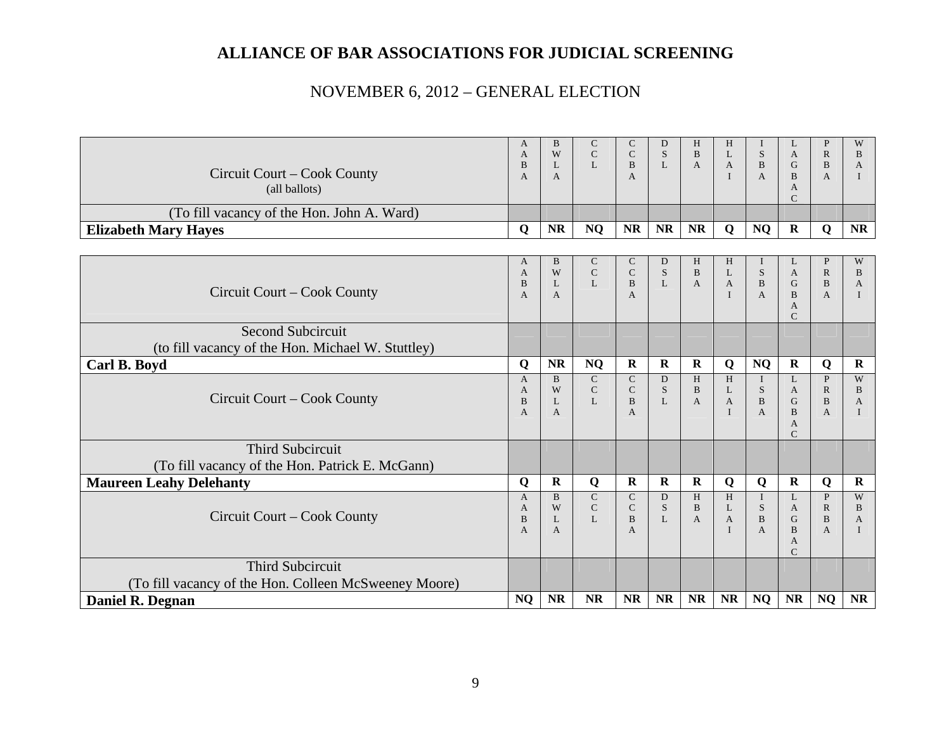|                                                       | A                              | B                   | $\mathsf{C}$   | $\mathsf{C}$                 | D            | H            | H           |                   | L                  | P                              | W                            |
|-------------------------------------------------------|--------------------------------|---------------------|----------------|------------------------------|--------------|--------------|-------------|-------------------|--------------------|--------------------------------|------------------------------|
|                                                       | $\mathbf{A}$                   | W                   | $\mathsf{C}$   | $\mathsf{C}$                 | S            | B            | L           | <sub>S</sub>      | $\mathbf{A}$       | $\mathbb{R}$                   | $\, {\bf B}$                 |
| Circuit Court – Cook County                           | $\, {\bf B}$<br>$\overline{A}$ | L<br>$\overline{A}$ | $\mathbf{L}$   | $\mathbf{B}$<br>$\mathbf{A}$ | L            | $\mathbf{A}$ | A           | B<br>$\mathsf{A}$ | G<br><sub>B</sub>  | B<br>A                         | $\mathbf{A}$<br>$\mathbf{I}$ |
| (all ballots)                                         |                                |                     |                |                              |              |              |             |                   | A                  |                                |                              |
|                                                       |                                |                     |                |                              |              |              |             |                   | C                  |                                |                              |
| (To fill vacancy of the Hon. John A. Ward)            |                                |                     |                |                              |              |              |             |                   |                    |                                |                              |
| <b>Elizabeth Mary Hayes</b>                           | Q                              | NR                  | <b>NQ</b>      | <b>NR</b>                    | <b>NR</b>    | <b>NR</b>    | $\mathbf Q$ | <b>NQ</b>         | $\mathbf R$        | Q                              | <b>NR</b>                    |
|                                                       |                                |                     |                |                              |              |              |             |                   |                    |                                |                              |
|                                                       | A                              | B                   | $\mathsf{C}$   | $\mathsf{C}$                 | D            | H            | H           |                   | L                  | P                              | W                            |
|                                                       | $\mathbf{A}$                   | W                   | ${\bf C}$      | $\mathsf{C}$                 | S            | $\mathbf{B}$ | L           | S                 | A                  | $\mathbb{R}$                   | $\mathbf{B}$                 |
| Circuit Court – Cook County                           | B<br>$\overline{A}$            | L<br>$\mathbf{A}$   | L              | $\, {\bf B}$<br>$\mathbf{A}$ | L            | $\mathbf{A}$ | A           | B<br>A            | G<br>B             | $\, {\bf B}$<br>$\overline{A}$ | A<br>I                       |
|                                                       |                                |                     |                |                              |              |              |             |                   | A                  |                                |                              |
|                                                       |                                |                     |                |                              |              |              |             |                   | $\mathsf{C}$       |                                |                              |
| <b>Second Subcircuit</b>                              |                                |                     |                |                              |              |              |             |                   |                    |                                |                              |
| (to fill vacancy of the Hon. Michael W. Stuttley)     |                                |                     |                |                              |              |              |             |                   |                    |                                |                              |
| Carl B. Boyd                                          | Q                              | NR                  | <b>NQ</b>      | $\mathbf R$                  | $\mathbf R$  | $\mathbf R$  | Q           | <b>NQ</b>         | $\mathbf R$        | Q                              | $\mathbf R$                  |
|                                                       | $\overline{A}$                 | $\mathbf{B}$        | $\overline{C}$ | $\mathsf{C}$                 | D            | H            | H           | $\mathbf{I}$      | L                  | $\mathbf{P}$                   | W                            |
|                                                       | A                              | W                   | $\mathbf C$    | $\mathsf{C}$                 | S            | $\, {\bf B}$ | L           | S                 | A                  | $\mathbb{R}$                   | $\bf{B}$                     |
| Circuit Court – Cook County                           | $\mathbf B$                    | L                   | L              | $\mathbf{B}$                 | $\mathbf{L}$ | $\mathbf{A}$ | A           | $\mathbf{B}$      | G                  | $\, {\bf B}$                   | $\mathbf{A}$                 |
|                                                       | $\overline{A}$                 | $\mathbf{A}$        |                | $\mathbf{A}$                 |              |              |             | $\mathbf{A}$      | B                  | $\overline{A}$                 | $\mathbf I$                  |
|                                                       |                                |                     |                |                              |              |              |             |                   | A<br>$\mathcal{C}$ |                                |                              |
| <b>Third Subcircuit</b>                               |                                |                     |                |                              |              |              |             |                   |                    |                                |                              |
| (To fill vacancy of the Hon. Patrick E. McGann)       |                                |                     |                |                              |              |              |             |                   |                    |                                |                              |
| <b>Maureen Leahy Delehanty</b>                        | Q                              | $\mathbf R$         | $\bf Q$        | $\mathbf R$                  | $\mathbf R$  | ${\bf R}$    | Q           | Q                 | $\mathbf R$        | Q                              | $\mathbf R$                  |
|                                                       | $\mathsf{A}$                   | <sub>B</sub>        | ${\bf C}$      | $\mathsf{C}$                 | D            | H            | H           | $\mathbf I$       | L                  | P                              | W                            |
|                                                       | A                              | W                   | ${\bf C}$      | $\mathbf C$                  | S            | $\mathbf{B}$ | L           | S                 | $\mathbf{A}$       | $\mathbb{R}$                   | $\, {\bf B}$                 |
| Circuit Court – Cook County                           | B                              | L                   | L              | B                            | $\mathbf{L}$ | A            | A           | B                 | G                  | $\, {\bf B}$                   | A                            |
|                                                       | $\overline{A}$                 | $\mathbf{A}$        |                | $\mathbf{A}$                 |              |              |             | $\mathsf{A}$      | B                  | $\overline{A}$                 |                              |
|                                                       |                                |                     |                |                              |              |              |             |                   | A<br>$\mathsf{C}$  |                                |                              |
| <b>Third Subcircuit</b>                               |                                |                     |                |                              |              |              |             |                   |                    |                                |                              |
| (To fill vacancy of the Hon. Colleen McSweeney Moore) |                                |                     |                |                              |              |              |             |                   |                    |                                |                              |
| Daniel R. Degnan                                      | <b>NQ</b>                      | <b>NR</b>           | <b>NR</b>      | NR                           | <b>NR</b>    | <b>NR</b>    | <b>NR</b>   | <b>NQ</b>         | <b>NR</b>          | <b>NQ</b>                      | <b>NR</b>                    |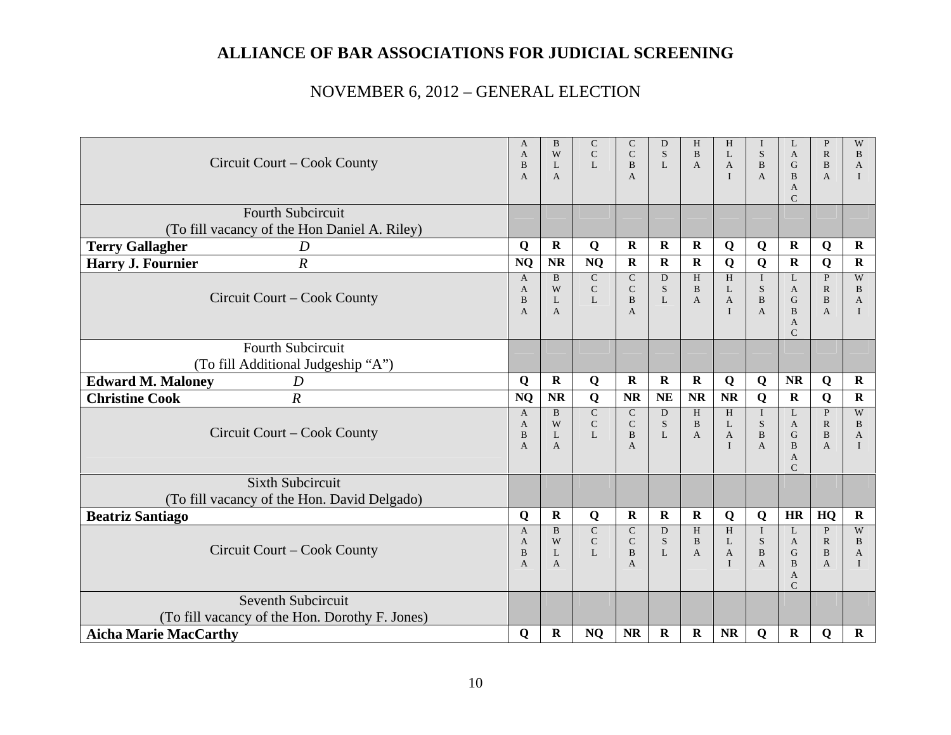| Circuit Court – Cook County                                              |                                          | B<br>W<br>L<br>$\mathbf{A}$            | C<br>$\mathsf{C}$<br>L                                  | C<br>$\mathsf{C}$<br>B<br>A            | D<br><sub>S</sub><br>L | H<br>$\mathbf{B}$<br>$\mathbf{A}$ | H<br>L<br>$\mathbf{A}$<br>$\mathbf{I}$ | S<br>$\, {\bf B}$<br>$\mathbf{A}$             | L<br>$\mathbf{A}$<br>G<br>$\mathbf{B}$<br>A<br>$\mathsf{C}$             | P<br>$\mathbb{R}$<br>B<br>$\overline{A}$                 | W<br>B<br>A<br>$\mathbf{I}$              |
|--------------------------------------------------------------------------|------------------------------------------|----------------------------------------|---------------------------------------------------------|----------------------------------------|------------------------|-----------------------------------|----------------------------------------|-----------------------------------------------|-------------------------------------------------------------------------|----------------------------------------------------------|------------------------------------------|
| <b>Fourth Subcircuit</b><br>(To fill vacancy of the Hon Daniel A. Riley) |                                          |                                        |                                                         |                                        |                        |                                   |                                        |                                               |                                                                         |                                                          |                                          |
| <b>Terry Gallagher</b><br>D                                              | Q                                        | $\mathbf R$                            | Q                                                       | $\mathbf R$                            | R                      | $\mathbf R$                       | Q                                      | Q                                             | $\mathbf R$                                                             | Q                                                        | $\mathbf R$                              |
| $\overline{R}$<br><b>Harry J. Fournier</b>                               | <b>NQ</b>                                | <b>NR</b>                              | NQ                                                      | $\mathbf R$                            | $\mathbf R$            | $\mathbf R$                       | Q                                      | Q                                             | $\mathbf R$                                                             | Q                                                        | $\mathbf R$                              |
| Circuit Court – Cook County                                              | $\mathbf{A}$<br>A<br>B<br>$\overline{A}$ | $\mathbf{B}$<br>W<br>L<br>$\mathbf{A}$ | ${\bf C}$<br>${\bf C}$<br>$\mathbf{L}$                  | $\mathbf C$<br>$\mathsf{C}$<br>B<br>A  | D<br>S.<br>L           | H<br>B<br>$\overline{A}$          | H<br>L<br>$\mathbf{A}$<br>T            | $\mathbf{I}$<br>S<br>$\bf{B}$<br>$\mathbf{A}$ | L<br>$\mathbf{A}$<br>$\mathbf G$<br>B<br>$\mathbf{A}$<br>$\mathcal{C}$  | $\mathbf{P}$<br>$\mathbb{R}$<br>$\bf{B}$<br>$\mathbf{A}$ | W<br>B<br>A<br>$\mathbf{I}$              |
| Fourth Subcircuit<br>(To fill Additional Judgeship "A")                  |                                          |                                        |                                                         |                                        |                        |                                   |                                        |                                               |                                                                         |                                                          |                                          |
| <b>Edward M. Maloney</b><br>$\boldsymbol{D}$                             | Q                                        | ${\bf R}$                              | Q                                                       | $\mathbf R$                            | $\bf R$                | $\mathbf R$                       | Q                                      | Q                                             | NR                                                                      | Q                                                        | $\mathbf R$                              |
| $\boldsymbol{R}$<br><b>Christine Cook</b>                                | <b>NQ</b>                                | $\bf NR$                               | $\bf Q$                                                 | <b>NR</b>                              | <b>NE</b>              | <b>NR</b>                         | <b>NR</b>                              | Q                                             | $\mathbf R$                                                             | Q                                                        | $\mathbf R$                              |
| Circuit Court - Cook County                                              | $\mathbf{A}$<br>A<br>B<br>$\overline{A}$ | $\mathbf{B}$<br>W<br>L<br>$\mathbf{A}$ | $\overline{\mathsf{C}}$<br>$\mathsf{C}$<br>$\mathbf{L}$ | $\mathsf{C}$<br>$\mathsf{C}$<br>B<br>A | D<br><sub>S</sub><br>L | H<br>B<br>$\mathbf{A}$            | H<br>L<br>$\mathbf{A}$<br>I            | $\mathbf{I}$<br>S<br>$\bf{B}$<br>$\mathbf{A}$ | L<br>$\mathbf{A}$<br>G<br>$\mathbf{B}$<br>$\mathbf{A}$<br>$\mathcal{C}$ | $\, {\bf P}$<br>$\mathbb{R}$<br>$\bf{B}$<br>$\mathbf{A}$ | W<br>B<br>$\overline{A}$<br>$\mathbf{I}$ |
| <b>Sixth Subcircuit</b><br>(To fill vacancy of the Hon. David Delgado)   |                                          |                                        |                                                         |                                        |                        |                                   |                                        |                                               |                                                                         |                                                          |                                          |
| <b>Beatriz Santiago</b>                                                  | Q                                        | $\mathbf R$                            | Q                                                       | R                                      | $\mathbf R$            | $\bf{R}$                          | Q                                      | Q                                             | HR                                                                      | HQ                                                       | $\mathbf R$                              |
| Circuit Court – Cook County                                              | $\mathbf{A}$<br>A<br>B<br>$\overline{A}$ | $\mathbf{B}$<br>W<br>L<br>A            | ${\bf C}$<br>${\bf C}$<br>$\mathbf{L}$                  | $\mathbf C$<br>$\mathbf C$<br>B<br>A   | D<br>S<br>L            | H<br>$\, {\bf B}$<br>$\mathbf{A}$ | H<br>L<br>$\overline{A}$<br>I          | $\mathbf{I}$<br>${\bf S}$<br>$\bf{B}$<br>A    | L<br>A<br>G<br>B<br>A<br>$\mathcal{C}$                                  | $\mathbf{P}$<br>$\mathbb{R}$<br>$\bf{B}$<br>$\mathbf{A}$ | W<br>B<br>A<br>$\mathbf{I}$              |
| Seventh Subcircuit<br>(To fill vacancy of the Hon. Dorothy F. Jones)     |                                          |                                        |                                                         |                                        |                        |                                   |                                        |                                               |                                                                         |                                                          |                                          |
| <b>Aicha Marie MacCarthy</b>                                             | Q                                        | $\mathbf R$                            | <b>NQ</b>                                               | <b>NR</b>                              | $\mathbf R$            | $\mathbf R$                       | <b>NR</b>                              | Q                                             | $\mathbf R$                                                             | Q                                                        | $\mathbf R$                              |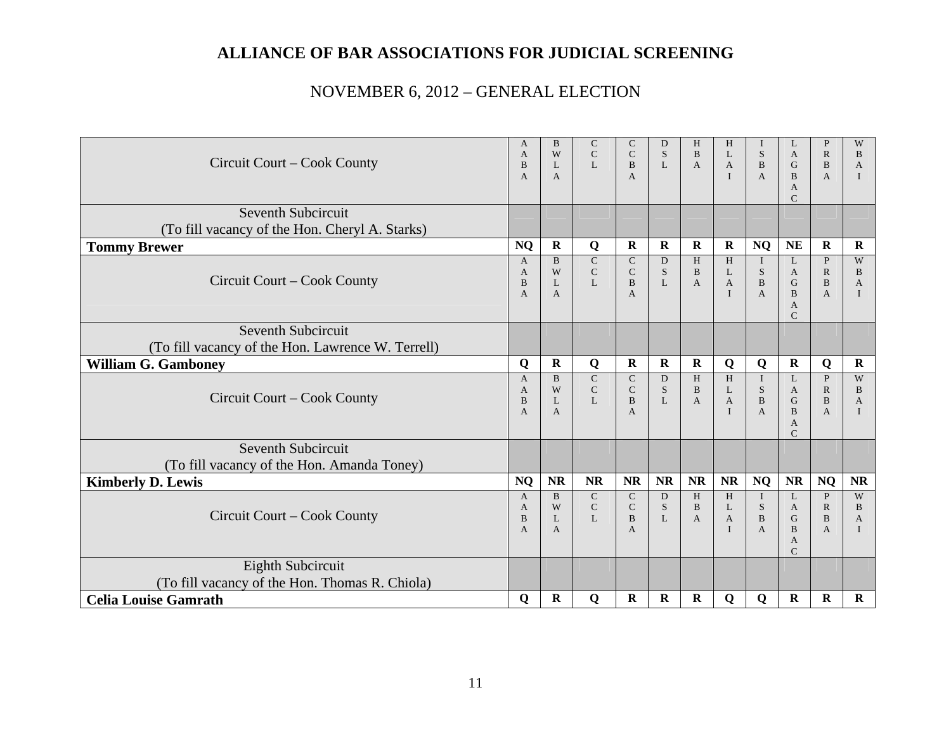|                                                   | A<br>A         | B<br>W            | C<br>$\mathsf{C}$        | C<br>$\mathsf{C}$         | D<br>S       | H<br>B            | H<br>L                       | T<br>S                       | L<br>A                        | P<br>$\mathbb{R}$              | W<br>B            |
|---------------------------------------------------|----------------|-------------------|--------------------------|---------------------------|--------------|-------------------|------------------------------|------------------------------|-------------------------------|--------------------------------|-------------------|
| Circuit Court – Cook County                       | B              | $\mathbf{L}$      | $\mathbf{L}$             | <sub>B</sub>              | $\mathbf{L}$ | $\mathbf{A}$      | $\mathbf{A}$                 | $\mathbf{B}$                 | G                             | B                              | $\overline{A}$    |
|                                                   | A              | A                 |                          | A                         |              |                   | $\mathbf{I}$                 | $\mathbf{A}$                 | B<br>$\mathbf{A}$             | $\overline{A}$                 |                   |
|                                                   |                |                   |                          |                           |              |                   |                              |                              | $\mathcal{C}$                 |                                |                   |
| Seventh Subcircuit                                |                |                   |                          |                           |              |                   |                              |                              |                               |                                |                   |
| (To fill vacancy of the Hon. Cheryl A. Starks)    |                |                   |                          |                           |              |                   |                              |                              |                               |                                |                   |
| <b>Tommy Brewer</b>                               | <b>NQ</b>      | $\mathbf R$       | Q                        | $\mathbf R$               | $\mathbf R$  | $\mathbf R$       | $\mathbf R$                  | <b>NQ</b>                    | <b>NE</b>                     | $\mathbf R$                    | $\mathbf R$       |
|                                                   | $\mathbf{A}$   | B<br>W            | ${\bf C}$<br>$\mathsf C$ | $\mathsf{C}$<br>${\bf C}$ | D<br>S       | H<br>B            | H<br>L                       | $\bf{I}$<br>${\bf S}$        | L<br>$\mathbf{A}$             | P<br>$\mathbb{R}$              | W<br>B            |
| Circuit Court – Cook County                       | A<br>B         | $\mathbf{L}$      | L                        | $\, {\bf B}$              | L            | A                 | $\mathbf{A}$                 | $\, {\bf B}$                 | G                             | B                              | A                 |
|                                                   | $\overline{A}$ | A                 |                          | A                         |              |                   | $\mathbf{I}$                 | $\overline{A}$               | $\bf{B}$                      | $\mathbf{A}$                   |                   |
|                                                   |                |                   |                          |                           |              |                   |                              |                              | $\mathbf{A}$<br>$\mathcal{C}$ |                                |                   |
| Seventh Subcircuit                                |                |                   |                          |                           |              |                   |                              |                              |                               |                                |                   |
| (To fill vacancy of the Hon. Lawrence W. Terrell) |                |                   |                          |                           |              |                   |                              |                              |                               |                                |                   |
| <b>William G. Gamboney</b>                        | Q              | $\mathbf R$       | Q                        | $\mathbf R$               | $\bf R$      | $\mathbf R$       | Q                            | Q                            | $\mathbf R$                   | Q                              | $\mathbf R$       |
|                                                   | $\overline{A}$ | <sub>B</sub>      | $\mathbf C$              | $\mathsf{C}$              | D            | H                 | H                            | $\mathbf{I}$                 | L                             | P                              | W                 |
| Circuit Court – Cook County                       | A<br>B         | W<br>$\mathbf{L}$ | $\mathbf C$<br>L         | $\mathbf C$<br>B          | S<br>L       | $\, {\bf B}$<br>A | L<br>$\mathbf{A}$            | S<br>$\mathbf{B}$            | $\mathbf{A}$<br>G             | $\mathbb{R}$<br>B              | B<br>$\mathbf{A}$ |
|                                                   | A              | A                 |                          | A                         |              |                   | $\mathbf{I}$                 | $\mathbf{A}$                 | $\bf{B}$                      | $\mathbf{A}$                   |                   |
|                                                   |                |                   |                          |                           |              |                   |                              |                              | $\mathbf{A}$<br>$\mathcal{C}$ |                                |                   |
| Seventh Subcircuit                                |                |                   |                          |                           |              |                   |                              |                              |                               |                                |                   |
| (To fill vacancy of the Hon. Amanda Toney)        |                |                   |                          |                           |              |                   |                              |                              |                               |                                |                   |
| <b>Kimberly D. Lewis</b>                          | <b>NQ</b>      | <b>NR</b>         | <b>NR</b>                | <b>NR</b>                 | <b>NR</b>    | <b>NR</b>         | NR                           | <b>NQ</b>                    | <b>NR</b>                     | <b>NQ</b>                      | <b>NR</b>         |
|                                                   | $\mathsf{A}$   | $\mathbf{B}$      | $\mathsf{C}$             | $\mathsf{C}$              | D            | H                 | H                            | $\mathbf{I}$                 | L                             | $\mathbf{P}$                   | W                 |
| Circuit Court – Cook County                       | A              | W                 | $\mathsf{C}$             | $\mathsf{C}$              | S            | B                 | L                            | S                            | $\mathbf{A}$                  | $\mathbb{R}$                   | B                 |
|                                                   | B<br>A         | $\mathbf{L}$<br>A | $\mathbf{L}$             | $\mathbf{B}$<br>A         | $\mathbf{L}$ | $\mathbf{A}$      | $\mathbf{A}$<br>$\mathbf{I}$ | $\, {\bf B}$<br>$\mathbf{A}$ | G<br>B                        | $\mathbf{B}$<br>$\overline{A}$ | $\mathbf{A}$      |
|                                                   |                |                   |                          |                           |              |                   |                              |                              | A                             |                                |                   |
| Eighth Subcircuit                                 |                |                   |                          |                           |              |                   |                              |                              | $\mathcal{C}$                 |                                |                   |
| (To fill vacancy of the Hon. Thomas R. Chiola)    |                |                   |                          |                           |              |                   |                              |                              |                               |                                |                   |
| <b>Celia Louise Gamrath</b>                       | $\mathbf Q$    | $\mathbf R$       | $\mathbf Q$              | R                         | $\mathbf R$  | $\mathbf R$       | $\mathbf Q$                  | $\mathbf Q$                  | $\mathbf R$                   | $\bf R$                        | $\mathbf R$       |
|                                                   |                |                   |                          |                           |              |                   |                              |                              |                               |                                |                   |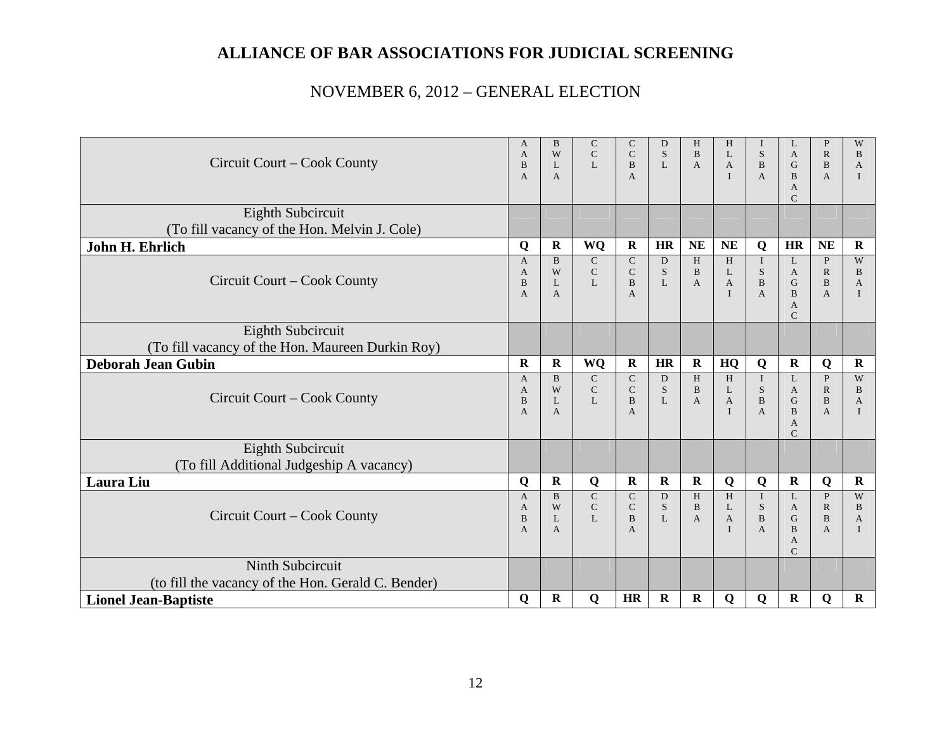|                                                    | A                   | B                 | $\mathsf{C}$                 | C                        | D           | H              | H                            | T                              | L                       | P                              | W            |
|----------------------------------------------------|---------------------|-------------------|------------------------------|--------------------------|-------------|----------------|------------------------------|--------------------------------|-------------------------|--------------------------------|--------------|
| Circuit Court – Cook County                        | A<br>B              | W<br>L            | $\mathsf{C}$<br>$\mathbf{L}$ | $\mathsf{C}$<br>B        | S<br>L      | B<br>A         | L<br>$\mathbf{A}$            | S<br>$\, {\bf B}$              | $\mathbf{A}$<br>G       | $\mathbb{R}$<br>$\, {\bf B}$   | B<br>A       |
|                                                    | A                   | A                 |                              | A                        |             |                | $\mathbf{I}$                 | $\mathbf{A}$                   | $\bf{B}$                | $\overline{A}$                 |              |
|                                                    |                     |                   |                              |                          |             |                |                              |                                | $\mathbf{A}$            |                                |              |
|                                                    |                     |                   |                              |                          |             |                |                              |                                | $\mathcal{C}$           |                                |              |
| Eighth Subcircuit                                  |                     |                   |                              |                          |             |                |                              |                                |                         |                                |              |
| (To fill vacancy of the Hon. Melvin J. Cole)       |                     |                   |                              |                          |             |                |                              |                                |                         |                                |              |
| John H. Ehrlich                                    | Q                   | $\mathbf R$       | WQ                           | $\mathbf R$              | <b>HR</b>   | <b>NE</b>      | <b>NE</b>                    | Q                              | HR                      | <b>NE</b>                      | $\mathbf R$  |
|                                                    | $\mathbf{A}$        | B                 | $\mathbf C$                  | $\mathsf{C}$             | D           | H              | H                            | $\bf{I}$                       | L                       | $\mathbf{P}$                   | W            |
| Circuit Court – Cook County                        | A                   | W                 | ${\bf C}$<br>$\mathbf{L}$    | ${\bf C}$                | S           | B              | L                            | ${\bf S}$                      | $\mathbf{A}$            | $\mathbb{R}$                   | B            |
|                                                    | B<br>$\overline{A}$ | L<br>A            |                              | $\bf{B}$<br>$\mathbf{A}$ | L           | A              | $\mathbf{A}$<br>$\mathbf{I}$ | $\, {\bf B}$<br>$\overline{A}$ | G<br>$\overline{B}$     | $\, {\bf B}$<br>$\overline{A}$ | A            |
|                                                    |                     |                   |                              |                          |             |                |                              |                                | A                       |                                |              |
|                                                    |                     |                   |                              |                          |             |                |                              |                                | $\mathcal{C}$           |                                |              |
| Eighth Subcircuit                                  |                     |                   |                              |                          |             |                |                              |                                |                         |                                |              |
| (To fill vacancy of the Hon. Maureen Durkin Roy)   |                     |                   |                              |                          |             |                |                              |                                |                         |                                |              |
| <b>Deborah Jean Gubin</b>                          | $\mathbf R$         | ${\bf R}$         | WQ                           | $\mathbf R$              | <b>HR</b>   | $\mathbf R$    | HQ                           | Q                              | $\mathbf R$             | Q                              | $\mathbf R$  |
|                                                    | $\overline{A}$      | $\mathbf{B}$      | $\mathsf{C}$                 | $\mathbf C$              | D           | H              | $\,$ H                       | $\mathbf{I}$                   | L                       | $\mathbf{P}$                   | W            |
| Circuit Court – Cook County                        | A                   | W                 | $\mathbf C$                  | ${\bf C}$                | S           | B              | L                            | ${\bf S}$                      | A                       | $\mathbb{R}$                   | B            |
|                                                    | B<br>A              | $\mathbf{L}$<br>A | L                            | <sub>B</sub><br>A        | L           | $\overline{A}$ | $\mathbf{A}$<br>$\mathbf{I}$ | $\, {\bf B}$<br>$\mathbf{A}$   | $\mathbf G$<br>$\bf{B}$ | $\, {\bf B}$<br>$\overline{A}$ | $\mathbf{A}$ |
|                                                    |                     |                   |                              |                          |             |                |                              |                                | $\mathbf{A}$            |                                |              |
|                                                    |                     |                   |                              |                          |             |                |                              |                                | $\mathsf{C}$            |                                |              |
| Eighth Subcircuit                                  |                     |                   |                              |                          |             |                |                              |                                |                         |                                |              |
| (To fill Additional Judgeship A vacancy)           |                     |                   |                              |                          |             |                |                              |                                |                         |                                |              |
| Laura Liu                                          | Q                   | $\mathbf R$       | Q                            | $\mathbf R$              | $\mathbf R$ | $\mathbf R$    | Q                            | Q                              | $\mathbf R$             | Q                              | $\mathbf R$  |
|                                                    | $\mathsf{A}$        | B                 | $\mathsf{C}$                 | $\mathsf{C}$             | D           | H              | H                            | $\bf{I}$                       | L                       | $\mathbf{P}$                   | W            |
| Circuit Court – Cook County                        | $\mathbf{A}$        | W                 | $\mathsf{C}$                 | $\mathsf{C}$             | S           | B              | L                            | ${\bf S}$                      | $\mathbf{A}$            | $\mathbb{R}$                   | B            |
|                                                    | B<br>$\overline{A}$ | $\mathbf{L}$<br>A | $\mathbf{L}$                 | B<br>A                   | L           | A              | $\mathbf{A}$<br>$\mathbf{I}$ | $\mathbf B$<br>$\mathbf{A}$    | G<br>B                  | $\bf{B}$<br>A                  | A            |
|                                                    |                     |                   |                              |                          |             |                |                              |                                | $\mathbf{A}$            |                                |              |
|                                                    |                     |                   |                              |                          |             |                |                              |                                | $\mathsf{C}$            |                                |              |
| Ninth Subcircuit                                   |                     |                   |                              |                          |             |                |                              |                                |                         |                                |              |
| (to fill the vacancy of the Hon. Gerald C. Bender) |                     |                   |                              |                          |             |                |                              |                                |                         |                                |              |
| <b>Lionel Jean-Baptiste</b>                        | Q                   | $\mathbf R$       | Q                            | <b>HR</b>                | $\mathbf R$ | $\bf R$        | Q                            | Q                              | $\mathbf R$             | Q                              | $\bf R$      |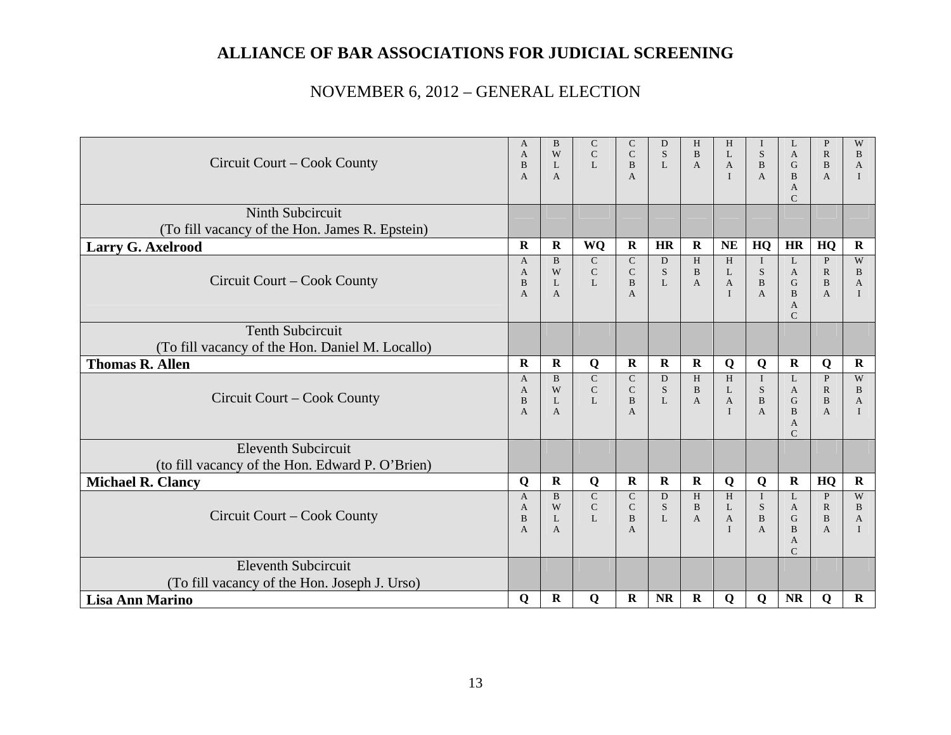|                                                 | A<br>A              | B<br>W            | $\mathsf{C}$<br>$\mathbf C$  | C<br>$\mathsf{C}$            | D<br>S            | H<br>B            | H<br>L            | T<br>S                | L<br>$\mathbf{A}$             | P<br>$\mathbb{R}$            | W<br>B              |
|-------------------------------------------------|---------------------|-------------------|------------------------------|------------------------------|-------------------|-------------------|-------------------|-----------------------|-------------------------------|------------------------------|---------------------|
| Circuit Court – Cook County                     | B                   | $\mathbf{L}$      | $\mathbf{L}$                 | <sub>B</sub>                 | $\mathbf{L}$      | $\mathbf{A}$      | $\mathbf{A}$      | $\mathbf{B}$          | G                             | B                            | $\overline{A}$      |
|                                                 | A                   | A                 |                              | A                            |                   |                   | $\mathbf{I}$      | $\mathbf{A}$          | B<br>$\mathbf{A}$             | $\overline{A}$               |                     |
|                                                 |                     |                   |                              |                              |                   |                   |                   |                       | $\mathcal{C}$                 |                              |                     |
| <b>Ninth Subcircuit</b>                         |                     |                   |                              |                              |                   |                   |                   |                       |                               |                              |                     |
| (To fill vacancy of the Hon. James R. Epstein)  |                     |                   |                              |                              |                   |                   |                   |                       |                               |                              |                     |
| Larry G. Axelrood                               | $\mathbf R$         | ${\bf R}$         | <b>WQ</b>                    | $\mathbf R$                  | <b>HR</b>         | $\mathbf R$       | <b>NE</b>         | HQ                    | HR                            | HQ                           | $\mathbf R$         |
|                                                 | $\overline{A}$<br>A | B<br>W            | $\mathsf{C}$<br>$\mathbf C$  | $\mathsf{C}$<br>$\mathbf C$  | D<br>S            | H<br>$\bf{B}$     | H<br>L            | $\bf{I}$<br>${\bf S}$ | L<br>$\mathbf{A}$             | $\mathbf{P}$<br>$\mathbb{R}$ | W<br>B              |
| Circuit Court – Cook County                     | B                   | $\mathbf{L}$      | L                            | B                            | L                 | A                 | $\mathbf{A}$      | $\, {\bf B}$          | G                             | B                            | A                   |
|                                                 | $\overline{A}$      | A                 |                              | A                            |                   |                   | $\mathbf{I}$      | $\overline{A}$        | $\bf{B}$                      | $\mathbf{A}$                 |                     |
|                                                 |                     |                   |                              |                              |                   |                   |                   |                       | $\mathbf{A}$<br>$\mathcal{C}$ |                              |                     |
| <b>Tenth Subcircuit</b>                         |                     |                   |                              |                              |                   |                   |                   |                       |                               |                              |                     |
| (To fill vacancy of the Hon. Daniel M. Locallo) |                     |                   |                              |                              |                   |                   |                   |                       |                               |                              |                     |
| <b>Thomas R. Allen</b>                          | $\bf{R}$            | $\mathbf R$       | Q                            | $\bf R$                      | $\bf{R}$          | R                 | Q                 | Q                     | $\mathbf R$                   | Q                            | $\mathbf R$         |
|                                                 | $\mathsf{A}$        | <sub>B</sub>      | $\mathsf{C}$                 | $\mathsf{C}$                 | D                 | H                 | H                 | $\mathbf I$           | L                             | P                            | W                   |
| Circuit Court – Cook County                     | A<br>B              | W<br>$\mathbf{L}$ | $\mathsf{C}$<br>$\mathbf{L}$ | $\mathbf C$<br>B             | S<br>L            | $\, {\bf B}$<br>A | L<br>$\mathbf{A}$ | S<br>$\mathbf{B}$     | $\mathbf{A}$<br>G             | $\mathbb{R}$<br>B            | B<br>$\overline{A}$ |
|                                                 | A                   | A                 |                              | A                            |                   |                   | $\mathbf{I}$      | $\mathbf{A}$          | $\bf{B}$                      | $\mathbf{A}$                 |                     |
|                                                 |                     |                   |                              |                              |                   |                   |                   |                       | $\mathbf{A}$<br>$\mathcal{C}$ |                              |                     |
| <b>Eleventh Subcircuit</b>                      |                     |                   |                              |                              |                   |                   |                   |                       |                               |                              |                     |
| (to fill vacancy of the Hon. Edward P. O'Brien) |                     |                   |                              |                              |                   |                   |                   |                       |                               |                              |                     |
| <b>Michael R. Clancy</b>                        | Q                   | $\mathbf R$       | Q                            | $\bf R$                      | $\bf R$           | $\bf R$           | Q                 | Q                     | $\mathbf R$                   | HQ                           | $\mathbf R$         |
|                                                 | $\overline{A}$      | $\mathbf{B}$      | $\mathsf{C}$                 | $\mathsf{C}$                 | D                 | H                 | H                 | $\mathbf{I}$          | L                             | $\mathbf{P}$                 | W                   |
| Circuit Court – Cook County                     | A<br>B              | W<br>$\mathbf{L}$ | $\mathbf C$<br>$\mathbf{L}$  | $\mathsf{C}$<br>$\mathbf{B}$ | S<br>$\mathbf{L}$ | B<br>A            | L<br>$\mathbf{A}$ | S<br>$\, {\bf B}$     | A<br>G                        | $\mathbb{R}$<br>$\mathbf{B}$ | B<br>$\mathbf{A}$   |
|                                                 | A                   | A                 |                              | A                            |                   |                   | $\mathbf{I}$      | $\mathbf{A}$          | B                             | $\overline{A}$               |                     |
|                                                 |                     |                   |                              |                              |                   |                   |                   |                       | $\mathbf{A}$<br>$\mathcal{C}$ |                              |                     |
| <b>Eleventh Subcircuit</b>                      |                     |                   |                              |                              |                   |                   |                   |                       |                               |                              |                     |
| (To fill vacancy of the Hon. Joseph J. Urso)    |                     |                   |                              |                              |                   |                   |                   |                       |                               |                              |                     |
| <b>Lisa Ann Marino</b>                          | $\mathbf Q$         | $\mathbf R$       | $\mathbf Q$                  | $\mathbf R$                  | <b>NR</b>         | $\mathbf R$       | $\mathbf Q$       | $\mathbf Q$           | <b>NR</b>                     | $\mathbf Q$                  | $\mathbf R$         |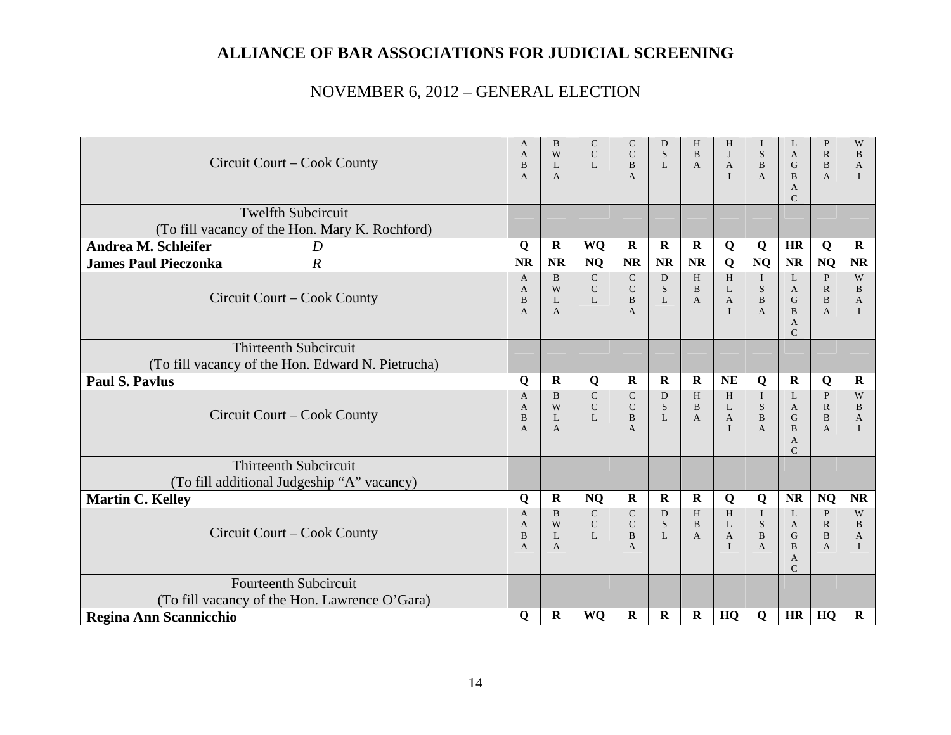| Circuit Court – Cook County                                                       | A<br>A<br>B<br>A                   | <sub>B</sub><br>W<br>L<br>A   | $\mathbf C$<br>$\mathbf C$<br>$\mathbf{L}$    | C<br>$\mathsf{C}$<br>B<br>$\mathbf{A}$                 | D<br>S<br>L            | H<br>$\mathbf{B}$<br>$\mathbf{A}$ | H<br>J<br>$\mathbf{A}$<br>$\mathbf{I}$            | I<br>S<br>$\bf{B}$<br>$\mathbf{A}$                        | L<br>$\mathbf{A}$<br>G<br>$\mathbf{B}$<br>$\mathbf{A}$<br>$\mathcal{C}$ | $\mathbf{P}$<br>$\mathbb{R}$<br>B<br>$\overline{A}$            | W<br>B<br>A                       |
|-----------------------------------------------------------------------------------|------------------------------------|-------------------------------|-----------------------------------------------|--------------------------------------------------------|------------------------|-----------------------------------|---------------------------------------------------|-----------------------------------------------------------|-------------------------------------------------------------------------|----------------------------------------------------------------|-----------------------------------|
| <b>Twelfth Subcircuit</b><br>(To fill vacancy of the Hon. Mary K. Rochford)       |                                    |                               |                                               |                                                        |                        |                                   |                                                   |                                                           |                                                                         |                                                                |                                   |
| Andrea M. Schleifer<br>D                                                          | Q                                  | ${\bf R}$                     | WQ                                            | $\mathbf R$                                            | $\mathbf R$            | $\mathbf R$                       | Q                                                 | Q                                                         | <b>HR</b>                                                               | Q                                                              | $\mathbf R$                       |
| <b>James Paul Pieczonka</b><br>$\boldsymbol{R}$                                   | <b>NR</b>                          | <b>NR</b>                     | <b>NQ</b>                                     | <b>NR</b>                                              | <b>NR</b>              | <b>NR</b>                         | Q                                                 | <b>NQ</b>                                                 | <b>NR</b>                                                               | <b>NQ</b>                                                      | <b>NR</b>                         |
| Circuit Court – Cook County                                                       | $\mathbf{A}$<br>A<br>B<br>A        | <sub>B</sub><br>W<br>L<br>A   | $\overline{C}$<br>$\mathbf C$<br>L            | $\mathbf C$<br>$\mathsf{C}$<br>B<br>$\mathbf{A}$       | D<br>S<br>$\mathbf{L}$ | H<br>B<br>A                       | H<br>L<br>A<br>$\mathbf{I}$                       | $\mathbf{I}$<br>S<br>B<br>$\overline{A}$                  | L<br>$\mathbf{A}$<br>G<br>$\mathbf{B}$<br>A<br>$\mathcal{C}$            | $\mathbf{P}$<br>$\mathbb{R}$<br>B<br>$\overline{A}$            | W<br><sub>B</sub><br>A            |
| <b>Thirteenth Subcircuit</b><br>(To fill vacancy of the Hon. Edward N. Pietrucha) |                                    |                               |                                               |                                                        |                        |                                   |                                                   |                                                           |                                                                         |                                                                |                                   |
| <b>Paul S. Pavlus</b>                                                             | Q                                  | $\mathbf R$                   | Q                                             | $\bf R$                                                | $\bf R$                | $\bf R$                           | <b>NE</b>                                         | Q                                                         | R                                                                       | Q                                                              | $\bf R$                           |
| Circuit Court – Cook County                                                       | $\mathsf{A}$<br>A<br>B<br>A        | $\overline{B}$<br>W<br>L<br>A | ${\bf C}$<br>$\mathsf C$<br>L                 | $\mathsf{C}$<br>$\mathsf{C}$<br>B<br>A                 | D<br>S<br>L            | H<br>$\mathbf{B}$<br>A            | H<br>L<br>$\mathbf{A}$<br>$\mathbf{I}$            | $\mathbf{I}$<br>${\bf S}$<br>$\mathbf{B}$<br>$\mathbf{A}$ | L<br>$\mathbf{A}$<br>G<br><sub>B</sub><br>$\mathbf{A}$<br>$\mathcal{C}$ | P<br>$\mathbb{R}$<br>B<br>$\overline{A}$                       | W<br>B<br>A                       |
| <b>Thirteenth Subcircuit</b><br>(To fill additional Judgeship "A" vacancy)        |                                    |                               |                                               |                                                        |                        |                                   |                                                   |                                                           |                                                                         |                                                                |                                   |
| <b>Martin C. Kelley</b>                                                           | $\mathbf Q$                        | $\mathbf R$                   | <b>NQ</b>                                     | $\bf{R}$                                               | $\bf R$                | $\bf R$                           | $\mathbf Q$                                       | Q                                                         | <b>NR</b>                                                               | <b>NQ</b>                                                      | <b>NR</b>                         |
| Circuit Court – Cook County                                                       | $\mathsf{A}$<br>A<br>$\bf{B}$<br>A | $\overline{B}$<br>W<br>L<br>A | $\overline{C}$<br>$\mathbf C$<br>$\mathbf{L}$ | $\mathbf C$<br>$\mathbf C$<br>$\bf{B}$<br>$\mathbf{A}$ | D<br>S<br>$\mathbf{L}$ | H<br><sub>B</sub><br>$\mathbf{A}$ | H<br>$\mathbf{L}$<br>$\mathbf{A}$<br>$\mathbf{I}$ | $\mathbf{I}$<br><sub>S</sub><br>$\bf{B}$<br>$\mathbf{A}$  | L<br>$\mathbf{A}$<br>G<br>B<br>$\mathsf{A}$<br>$\mathcal{C}$            | $\mathbf{P}$<br>$\mathbb{R}$<br>$\mathbf{B}$<br>$\overline{A}$ | W<br><sub>B</sub><br>$\mathbf{A}$ |
| <b>Fourteenth Subcircuit</b><br>(To fill vacancy of the Hon. Lawrence O'Gara)     |                                    |                               |                                               |                                                        |                        |                                   |                                                   |                                                           |                                                                         |                                                                |                                   |
| Regina Ann Scannicchio                                                            | Q                                  | $\mathbf R$                   | WQ                                            | $\mathbf R$                                            | $\bf R$                | $\bf R$                           | HQ                                                | Q                                                         | <b>HR</b>                                                               | HQ                                                             | $\mathbf R$                       |